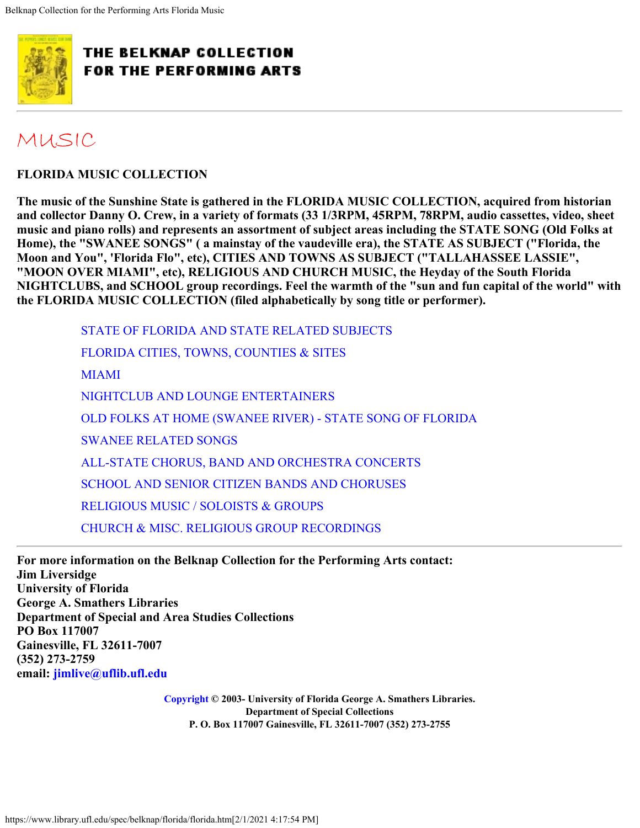<span id="page-0-0"></span>

## [MUSIC](https://www.library.ufl.edu/spec/belknap/music.htm)

**FLORIDA MUSIC COLLECTION**

**The music of the Sunshine State is gathered in the FLORIDA MUSIC COLLECTION, acquired from historian and collector Danny O. Crew, in a variety of formats (33 1/3RPM, 45RPM, 78RPM, audio cassettes, video, sheet music and piano rolls) and represents an assortment of subject areas including the STATE SONG (Old Folks at Home), the "SWANEE SONGS" ( a mainstay of the vaudeville era), the STATE AS SUBJECT ("Florida, the Moon and You", 'Florida Flo", etc), CITIES AND TOWNS AS SUBJECT ("TALLAHASSEE LASSIE", "MOON OVER MIAMI", etc), RELIGIOUS AND CHURCH MUSIC, the Heyday of the South Florida NIGHTCLUBS, and SCHOOL group recordings. Feel the warmth of the "sun and fun capital of the world" with the FLORIDA MUSIC COLLECTION (filed alphabetically by song title or performer).**

[STATE OF FLORIDA AND STATE RELATED SUBJECTS](#page-1-0) [FLORIDA CITIES, TOWNS, COUNTIES & SITES](#page-4-0) [MIAMI](#page-9-0) [NIGHTCLUB AND LOUNGE ENTERTAINERS](#page-14-0) [OLD FOLKS AT HOME \(SWANEE RIVER\) - STATE SONG OF FLORIDA](#page-18-0) [SWANEE RELATED SONGS](#page-21-0) [ALL-STATE CHORUS, BAND AND ORCHESTRA CONCERTS](#page-24-0) [SCHOOL AND SENIOR CITIZEN BANDS AND CHORUSES](#page-25-0) [RELIGIOUS MUSIC / SOLOISTS & GROUPS](#page-29-0) [CHURCH & MISC. RELIGIOUS GROUP RECORDINGS](#page-36-0)

**For more information on the Belknap Collection for the Performing Arts contact: Jim Liversidge University of Florida George A. Smathers Libraries Department of Special and Area Studies Collections PO Box 117007 Gainesville, FL 32611-7007 (352) 273-2759 email: [jimlive@uflib.ufl.edu](mailto:jimlive@uflib.ufl.edu)**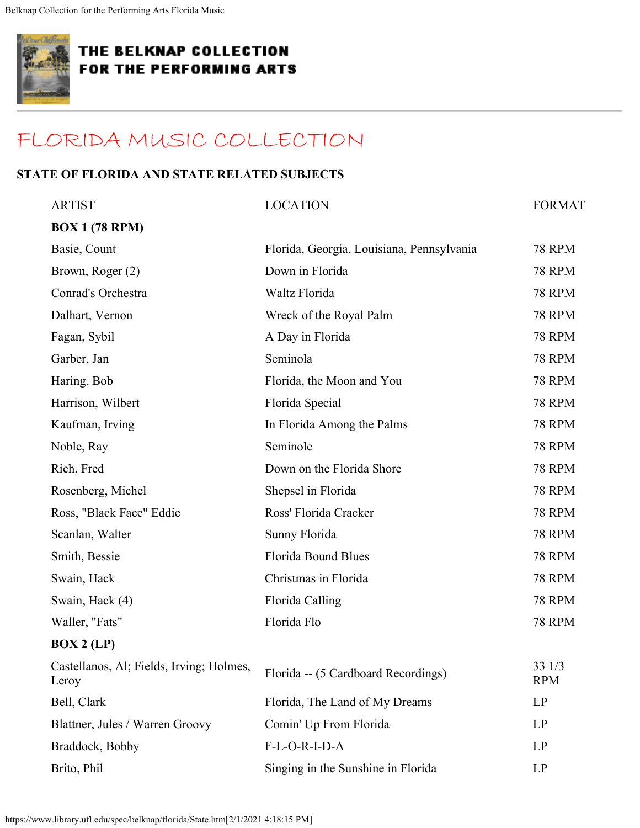<span id="page-1-0"></span>

## [FLORIDA MUSIC COLLECTION](#page-0-0)

#### **STATE OF FLORIDA AND STATE RELATED SUBJECTS**

| <b>ARTIST</b>                                     | <b>LOCATION</b>                           | <b>FORMAT</b>        |
|---------------------------------------------------|-------------------------------------------|----------------------|
| <b>BOX 1 (78 RPM)</b>                             |                                           |                      |
| Basie, Count                                      | Florida, Georgia, Louisiana, Pennsylvania | <b>78 RPM</b>        |
| Brown, Roger (2)                                  | Down in Florida                           | <b>78 RPM</b>        |
| Conrad's Orchestra                                | Waltz Florida                             | <b>78 RPM</b>        |
| Dalhart, Vernon                                   | Wreck of the Royal Palm                   | <b>78 RPM</b>        |
| Fagan, Sybil                                      | A Day in Florida                          | <b>78 RPM</b>        |
| Garber, Jan                                       | Seminola                                  | <b>78 RPM</b>        |
| Haring, Bob                                       | Florida, the Moon and You                 | <b>78 RPM</b>        |
| Harrison, Wilbert                                 | Florida Special                           | <b>78 RPM</b>        |
| Kaufman, Irving                                   | In Florida Among the Palms                | <b>78 RPM</b>        |
| Noble, Ray                                        | Seminole                                  | <b>78 RPM</b>        |
| Rich, Fred                                        | Down on the Florida Shore                 | <b>78 RPM</b>        |
| Rosenberg, Michel                                 | Shepsel in Florida                        | <b>78 RPM</b>        |
| Ross, "Black Face" Eddie                          | Ross' Florida Cracker                     | <b>78 RPM</b>        |
| Scanlan, Walter                                   | Sunny Florida                             | <b>78 RPM</b>        |
| Smith, Bessie                                     | <b>Florida Bound Blues</b>                | <b>78 RPM</b>        |
| Swain, Hack                                       | Christmas in Florida                      | <b>78 RPM</b>        |
| Swain, Hack (4)                                   | Florida Calling                           | <b>78 RPM</b>        |
| Waller, "Fats"                                    | Florida Flo                               | <b>78 RPM</b>        |
| BOX 2 (LP)                                        |                                           |                      |
| Castellanos, Al; Fields, Irving; Holmes,<br>Leroy | Florida -- (5 Cardboard Recordings)       | 33 1/3<br><b>RPM</b> |
| Bell, Clark                                       | Florida, The Land of My Dreams            | LP                   |
| Blattner, Jules / Warren Groovy                   | Comin' Up From Florida                    | LP                   |
| Braddock, Bobby                                   | F-L-O-R-I-D-A                             | LP                   |
|                                                   |                                           |                      |

Brito, Phil Singing in the Sunshine in Florida LP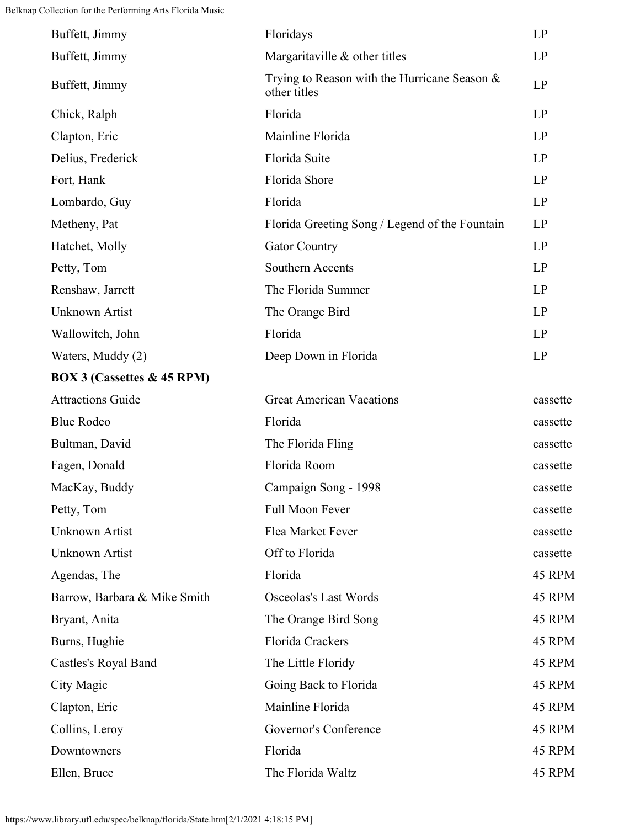| Buffett, Jimmy                        | Floridays                                                       | LP       |
|---------------------------------------|-----------------------------------------------------------------|----------|
| Buffett, Jimmy                        | Margaritaville & other titles                                   | LP       |
| Buffett, Jimmy                        | Trying to Reason with the Hurricane Season $\&$<br>other titles | LP       |
| Chick, Ralph                          | Florida                                                         | LP       |
| Clapton, Eric                         | Mainline Florida                                                | LP       |
| Delius, Frederick                     | Florida Suite                                                   | LP       |
| Fort, Hank                            | Florida Shore                                                   | LP       |
| Lombardo, Guy                         | Florida                                                         | LP       |
| Metheny, Pat                          | Florida Greeting Song / Legend of the Fountain                  | LP       |
| Hatchet, Molly                        | <b>Gator Country</b>                                            | LP       |
| Petty, Tom                            | Southern Accents                                                | LP       |
| Renshaw, Jarrett                      | The Florida Summer                                              | LP       |
| <b>Unknown Artist</b>                 | The Orange Bird                                                 | LP       |
| Wallowitch, John                      | Florida                                                         | LP       |
| Waters, Muddy (2)                     | Deep Down in Florida                                            | LP       |
| <b>BOX 3 (Cassettes &amp; 45 RPM)</b> |                                                                 |          |
| <b>Attractions Guide</b>              | <b>Great American Vacations</b>                                 | cassette |
| <b>Blue Rodeo</b>                     | Florida                                                         | cassette |
| Bultman, David                        | The Florida Fling                                               | cassette |
| Fagen, Donald                         | Florida Room                                                    | cassette |
| MacKay, Buddy                         | Campaign Song - 1998                                            | cassette |
| Petty, Tom                            | Full Moon Fever                                                 | cassette |
| <b>Unknown Artist</b>                 | Flea Market Fever                                               | cassette |
| Unknown Artist                        | Off to Florida                                                  | cassette |
| Agendas, The                          | Florida                                                         | 45 RPM   |
| Barrow, Barbara & Mike Smith          | Osceolas's Last Words                                           | 45 RPM   |
| Bryant, Anita                         | The Orange Bird Song                                            | 45 RPM   |
| Burns, Hughie                         | Florida Crackers                                                | 45 RPM   |
| Castles's Royal Band                  | The Little Floridy                                              | 45 RPM   |
| City Magic                            | Going Back to Florida                                           | 45 RPM   |
| Clapton, Eric                         | Mainline Florida                                                | 45 RPM   |
| Collins, Leroy                        | Governor's Conference                                           | 45 RPM   |
| Downtowners                           | Florida                                                         | 45 RPM   |
| Ellen, Bruce                          | The Florida Waltz                                               | 45 RPM   |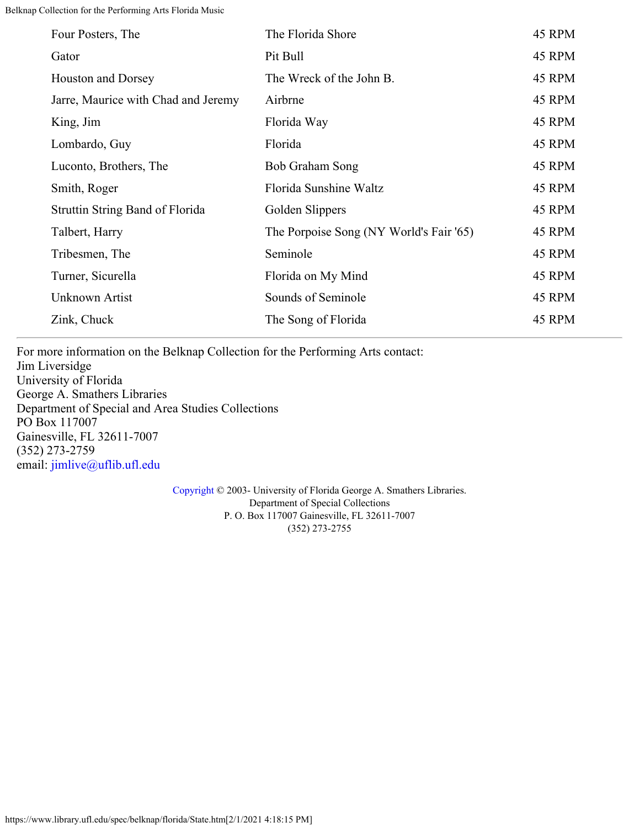| Four Posters, The                      | The Florida Shore                       | 45 RPM |
|----------------------------------------|-----------------------------------------|--------|
| Gator                                  | Pit Bull                                | 45 RPM |
| <b>Houston and Dorsey</b>              | The Wreck of the John B.                | 45 RPM |
| Jarre, Maurice with Chad and Jeremy    | Airbrne                                 | 45 RPM |
| King, Jim                              | Florida Way                             | 45 RPM |
| Lombardo, Guy                          | Florida                                 | 45 RPM |
| Luconto, Brothers, The                 | Bob Graham Song                         | 45 RPM |
| Smith, Roger                           | Florida Sunshine Waltz                  | 45 RPM |
| <b>Struttin String Band of Florida</b> | Golden Slippers                         | 45 RPM |
| Talbert, Harry                         | The Porpoise Song (NY World's Fair '65) | 45 RPM |
| Tribesmen, The                         | Seminole                                | 45 RPM |
| Turner, Sicurella                      | Florida on My Mind                      | 45 RPM |
| Unknown Artist                         | Sounds of Seminole                      | 45 RPM |
| Zink, Chuck                            | The Song of Florida                     | 45 RPM |

For more information on the Belknap Collection for the Performing Arts contact: Jim Liversidge University of Florida George A. Smathers Libraries Department of Special and Area Studies Collections PO Box 117007 Gainesville, FL 32611-7007 (352) 273-2759 email: [jimlive@uflib.ufl.edu](mailto:jimlive@uflib.ufl.edu)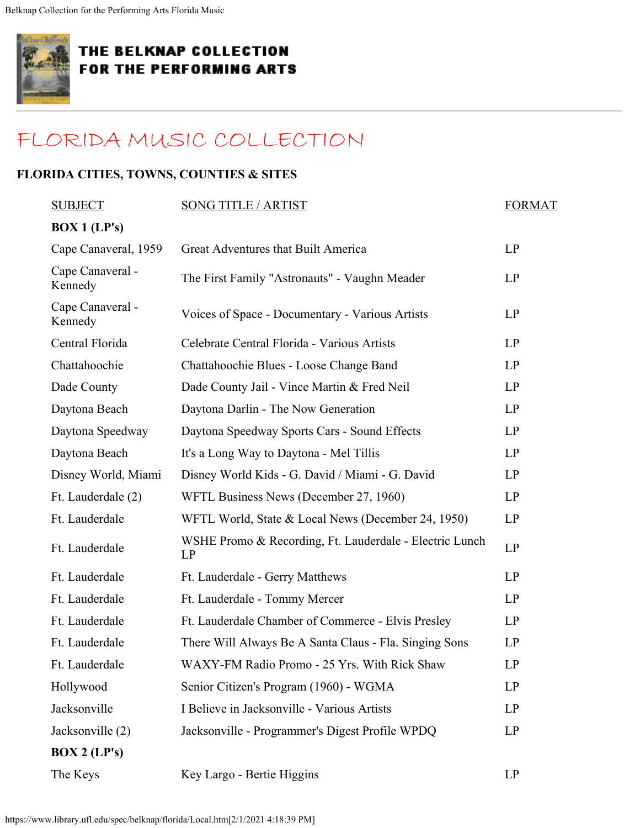<span id="page-4-0"></span>

## [FLORIDA MUSIC COLLECTION](#page-0-0)

### **FLORIDA CITIES, TOWNS, COUNTIES & SITES**

| <b>SUBJECT</b>              | <b>SONG TITLE / ARTIST</b>                                    | <b>FORMAT</b> |
|-----------------------------|---------------------------------------------------------------|---------------|
| $\overline{BOX}$ 1 (LP's)   |                                                               |               |
| Cape Canaveral, 1959        | Great Adventures that Built America                           | LP            |
| Cape Canaveral -<br>Kennedy | The First Family "Astronauts" - Vaughn Meader                 | LP            |
| Cape Canaveral -<br>Kennedy | Voices of Space - Documentary - Various Artists               | LP            |
| Central Florida             | Celebrate Central Florida - Various Artists                   | LP            |
| Chattahoochie               | Chattahoochie Blues - Loose Change Band                       | LP            |
| Dade County                 | Dade County Jail - Vince Martin & Fred Neil                   | LP            |
| Daytona Beach               | Daytona Darlin - The Now Generation                           | LP            |
| Daytona Speedway            | Daytona Speedway Sports Cars - Sound Effects                  | LP            |
| Daytona Beach               | It's a Long Way to Daytona - Mel Tillis                       | LP            |
| Disney World, Miami         | Disney World Kids - G. David / Miami - G. David               | LP            |
| Ft. Lauderdale (2)          | WFTL Business News (December 27, 1960)                        | LP            |
| Ft. Lauderdale              | WFTL World, State & Local News (December 24, 1950)            | LP            |
| Ft. Lauderdale              | WSHE Promo & Recording, Ft. Lauderdale - Electric Lunch<br>LP | LP            |
| Ft. Lauderdale              | Ft. Lauderdale - Gerry Matthews                               | LP            |
| Ft. Lauderdale              | Ft. Lauderdale - Tommy Mercer                                 | LP            |
| Ft. Lauderdale              | Ft. Lauderdale Chamber of Commerce - Elvis Presley            | LP            |
| Ft. Lauderdale              | There Will Always Be A Santa Claus - Fla. Singing Sons        | LP            |
| Ft. Lauderdale              | WAXY-FM Radio Promo - 25 Yrs. With Rick Shaw                  | LP            |
| Hollywood                   | Senior Citizen's Program (1960) - WGMA                        | LP            |
| Jacksonville                | I Believe in Jacksonville - Various Artists                   | LP            |
| Jacksonville (2)            | Jacksonville - Programmer's Digest Profile WPDQ               | LP            |
| $\overline{BOX}$ 2 (LP's)   |                                                               |               |
| The Keys                    | Key Largo - Bertie Higgins                                    | LP            |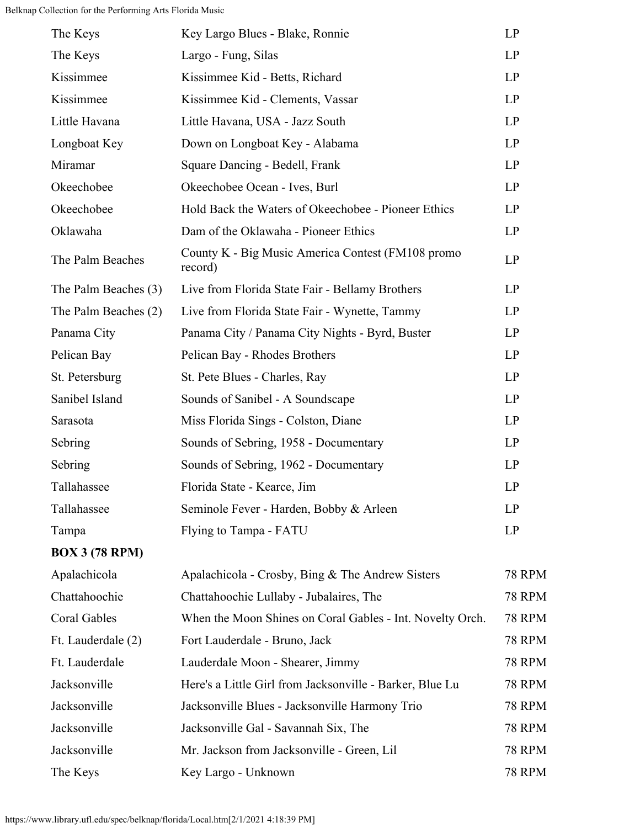```
Belknap Collection for the Performing Arts Florida Music
```

| The Keys              | Key Largo Blues - Blake, Ronnie                              | LP            |
|-----------------------|--------------------------------------------------------------|---------------|
| The Keys              | Largo - Fung, Silas                                          | LP            |
| Kissimmee             | Kissimmee Kid - Betts, Richard                               | LP            |
| Kissimmee             | Kissimmee Kid - Clements, Vassar                             | LP            |
| Little Havana         | Little Havana, USA - Jazz South                              | LP            |
| Longboat Key          | Down on Longboat Key - Alabama                               | LP            |
| Miramar               | Square Dancing - Bedell, Frank                               | LP            |
| Okeechobee            | Okeechobee Ocean - Ives, Burl                                | LP            |
| Okeechobee            | Hold Back the Waters of Okeechobee - Pioneer Ethics          | LP            |
| Oklawaha              | Dam of the Oklawaha - Pioneer Ethics                         | LP            |
| The Palm Beaches      | County K - Big Music America Contest (FM108 promo<br>record) | LP            |
| The Palm Beaches (3)  | Live from Florida State Fair - Bellamy Brothers              | LP            |
| The Palm Beaches (2)  | Live from Florida State Fair - Wynette, Tammy                | LP            |
| Panama City           | Panama City / Panama City Nights - Byrd, Buster              | LP            |
| Pelican Bay           | Pelican Bay - Rhodes Brothers                                | LP            |
| St. Petersburg        | St. Pete Blues - Charles, Ray                                | LP            |
| Sanibel Island        | Sounds of Sanibel - A Soundscape                             | LP            |
| Sarasota              | Miss Florida Sings - Colston, Diane                          | LP            |
| Sebring               | Sounds of Sebring, 1958 - Documentary                        | LP            |
| Sebring               | Sounds of Sebring, 1962 - Documentary                        | LP            |
| Tallahassee           | Florida State - Kearce, Jim                                  | LP            |
| Tallahassee           | Seminole Fever - Harden, Bobby & Arleen                      | LP            |
| Tampa                 | Flying to Tampa - FATU                                       | LP            |
| <b>BOX 3 (78 RPM)</b> |                                                              |               |
| Apalachicola          | Apalachicola - Crosby, Bing & The Andrew Sisters             | <b>78 RPM</b> |
| Chattahoochie         | Chattahoochie Lullaby - Jubalaires, The                      | <b>78 RPM</b> |
| Coral Gables          | When the Moon Shines on Coral Gables - Int. Novelty Orch.    | <b>78 RPM</b> |
| Ft. Lauderdale (2)    | Fort Lauderdale - Bruno, Jack                                | <b>78 RPM</b> |
| Ft. Lauderdale        | Lauderdale Moon - Shearer, Jimmy                             | <b>78 RPM</b> |
| Jacksonville          | Here's a Little Girl from Jacksonville - Barker, Blue Lu     | <b>78 RPM</b> |
| Jacksonville          | Jacksonville Blues - Jacksonville Harmony Trio               | <b>78 RPM</b> |
| Jacksonville          | Jacksonville Gal - Savannah Six, The                         | <b>78 RPM</b> |
| Jacksonville          | Mr. Jackson from Jacksonville - Green, Lil                   | <b>78 RPM</b> |
| The Keys              | Key Largo - Unknown                                          | <b>78 RPM</b> |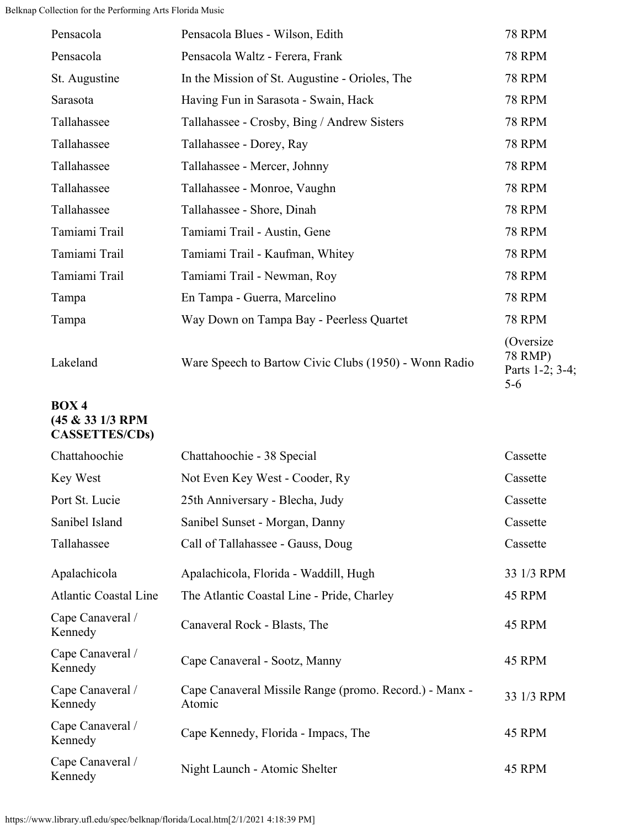```
Belknap Collection for the Performing Arts Florida Music
```

| Pensacola     | Pensacola Blues - Wilson, Edith                       | <b>78 RPM</b>                                       |
|---------------|-------------------------------------------------------|-----------------------------------------------------|
| Pensacola     | Pensacola Waltz - Ferera, Frank                       | <b>78 RPM</b>                                       |
| St. Augustine | In the Mission of St. Augustine - Orioles, The        | <b>78 RPM</b>                                       |
| Sarasota      | Having Fun in Sarasota - Swain, Hack                  | <b>78 RPM</b>                                       |
| Tallahassee   | Tallahassee - Crosby, Bing / Andrew Sisters           | <b>78 RPM</b>                                       |
| Tallahassee   | Tallahassee - Dorey, Ray                              | <b>78 RPM</b>                                       |
| Tallahassee   | Tallahassee - Mercer, Johnny                          | <b>78 RPM</b>                                       |
| Tallahassee   | Tallahassee - Monroe, Vaughn                          | <b>78 RPM</b>                                       |
| Tallahassee   | Tallahassee - Shore, Dinah                            | <b>78 RPM</b>                                       |
| Tamiami Trail | Tamiami Trail - Austin, Gene                          | <b>78 RPM</b>                                       |
| Tamiami Trail | Tamiami Trail - Kaufman, Whitey                       | <b>78 RPM</b>                                       |
| Tamiami Trail | Tamiami Trail - Newman, Roy                           | <b>78 RPM</b>                                       |
| Tampa         | En Tampa - Guerra, Marcelino                          | <b>78 RPM</b>                                       |
| Tampa         | Way Down on Tampa Bay - Peerless Quartet              | <b>78 RPM</b>                                       |
| Lakeland      | Ware Speech to Bartow Civic Clubs (1950) - Wonn Radio | (Oversize)<br>78 RMP)<br>Parts 1-2; 3-4;<br>$5 - 6$ |

#### **BOX 4 (45 & 33 1/3 RPM CASSETTES/CDs)**

| Chattahoochie                | Chattahoochie - 38 Special                                       | Cassette   |
|------------------------------|------------------------------------------------------------------|------------|
| Key West                     | Not Even Key West - Cooder, Ry                                   | Cassette   |
| Port St. Lucie               | 25th Anniversary - Blecha, Judy                                  | Cassette   |
| Sanibel Island               | Sanibel Sunset - Morgan, Danny                                   | Cassette   |
| Tallahassee                  | Call of Tallahassee - Gauss, Doug                                | Cassette   |
| Apalachicola                 | Apalachicola, Florida - Waddill, Hugh                            | 33 1/3 RPM |
| <b>Atlantic Coastal Line</b> | The Atlantic Coastal Line - Pride, Charley                       | 45 RPM     |
| Cape Canaveral /<br>Kennedy  | Canaveral Rock - Blasts, The                                     | 45 RPM     |
| Cape Canaveral /<br>Kennedy  | Cape Canaveral - Sootz, Manny                                    | 45 RPM     |
| Cape Canaveral /<br>Kennedy  | Cape Canaveral Missile Range (promo. Record.) - Manx -<br>Atomic | 33 1/3 RPM |
| Cape Canaveral /<br>Kennedy  | Cape Kennedy, Florida - Impacs, The                              | 45 RPM     |
| Cape Canaveral /<br>Kennedy  | Night Launch - Atomic Shelter                                    | 45 RPM     |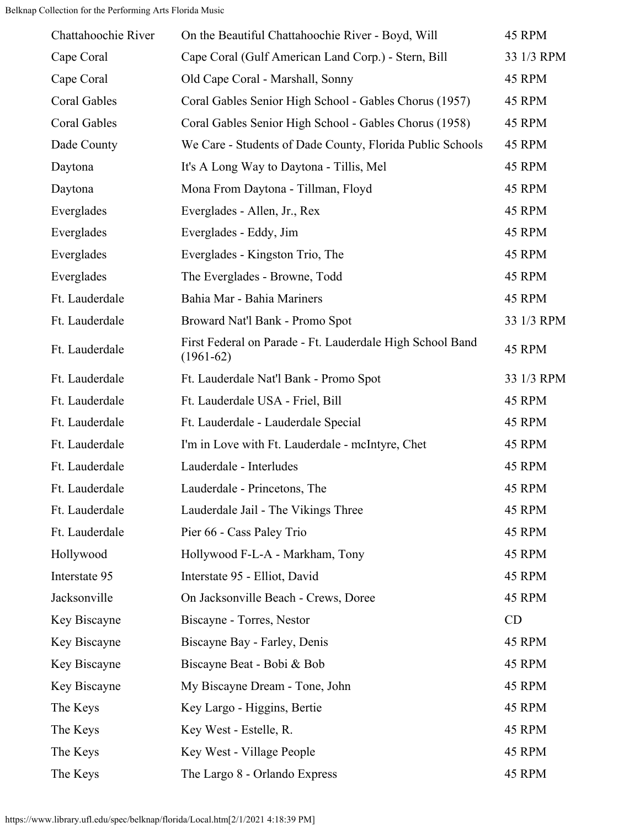Belknap Collection for the Performing Arts Florida Music

| Chattahoochie River | On the Beautiful Chattahoochie River - Boyd, Will                        | 45 RPM     |
|---------------------|--------------------------------------------------------------------------|------------|
| Cape Coral          | Cape Coral (Gulf American Land Corp.) - Stern, Bill                      | 33 1/3 RPM |
| Cape Coral          | Old Cape Coral - Marshall, Sonny                                         | 45 RPM     |
| Coral Gables        | Coral Gables Senior High School - Gables Chorus (1957)                   | 45 RPM     |
| Coral Gables        | Coral Gables Senior High School - Gables Chorus (1958)                   | 45 RPM     |
| Dade County         | We Care - Students of Dade County, Florida Public Schools                | 45 RPM     |
| Daytona             | It's A Long Way to Daytona - Tillis, Mel                                 | 45 RPM     |
| Daytona             | Mona From Daytona - Tillman, Floyd                                       | 45 RPM     |
| Everglades          | Everglades - Allen, Jr., Rex                                             | 45 RPM     |
| Everglades          | Everglades - Eddy, Jim                                                   | 45 RPM     |
| Everglades          | Everglades - Kingston Trio, The                                          | 45 RPM     |
| Everglades          | The Everglades - Browne, Todd                                            | 45 RPM     |
| Ft. Lauderdale      | Bahia Mar - Bahia Mariners                                               | 45 RPM     |
| Ft. Lauderdale      | Broward Nat'l Bank - Promo Spot                                          | 33 1/3 RPM |
| Ft. Lauderdale      | First Federal on Parade - Ft. Lauderdale High School Band<br>$(1961-62)$ | 45 RPM     |
| Ft. Lauderdale      | Ft. Lauderdale Nat'l Bank - Promo Spot                                   | 33 1/3 RPM |
| Ft. Lauderdale      | Ft. Lauderdale USA - Friel, Bill                                         | 45 RPM     |
| Ft. Lauderdale      | Ft. Lauderdale - Lauderdale Special                                      | 45 RPM     |
| Ft. Lauderdale      | I'm in Love with Ft. Lauderdale - mcIntyre, Chet                         | 45 RPM     |
| Ft. Lauderdale      | Lauderdale - Interludes                                                  | 45 RPM     |
| Ft. Lauderdale      | Lauderdale - Princetons, The                                             | 45 RPM     |
| Ft. Lauderdale      | Lauderdale Jail - The Vikings Three                                      | 45 RPM     |
| Ft. Lauderdale      | Pier 66 - Cass Paley Trio                                                | 45 RPM     |
| Hollywood           | Hollywood F-L-A - Markham, Tony                                          | 45 RPM     |
| Interstate 95       | Interstate 95 - Elliot, David                                            | 45 RPM     |
| Jacksonville        | On Jacksonville Beach - Crews, Doree                                     | 45 RPM     |
| Key Biscayne        | Biscayne - Torres, Nestor                                                | CD         |
| Key Biscayne        | Biscayne Bay - Farley, Denis                                             | 45 RPM     |
| Key Biscayne        | Biscayne Beat - Bobi & Bob                                               | 45 RPM     |
| Key Biscayne        | My Biscayne Dream - Tone, John                                           | 45 RPM     |
| The Keys            | Key Largo - Higgins, Bertie                                              | 45 RPM     |
| The Keys            | Key West - Estelle, R.                                                   | 45 RPM     |
| The Keys            | Key West - Village People                                                | 45 RPM     |
| The Keys            | The Largo 8 - Orlando Express                                            | 45 RPM     |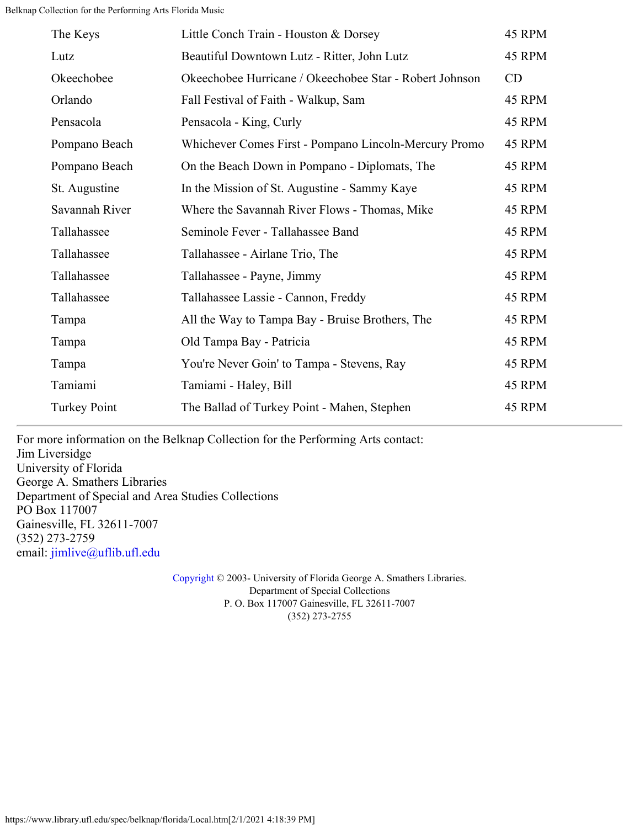| The Keys            | Little Conch Train - Houston & Dorsey                   | 45 RPM |
|---------------------|---------------------------------------------------------|--------|
| Lutz                | Beautiful Downtown Lutz - Ritter, John Lutz             | 45 RPM |
| Okeechobee          | Okeechobee Hurricane / Okeechobee Star - Robert Johnson | CD     |
| Orlando             | Fall Festival of Faith - Walkup, Sam                    | 45 RPM |
| Pensacola           | Pensacola - King, Curly                                 | 45 RPM |
| Pompano Beach       | Whichever Comes First - Pompano Lincoln-Mercury Promo   | 45 RPM |
| Pompano Beach       | On the Beach Down in Pompano - Diplomats, The           | 45 RPM |
| St. Augustine       | In the Mission of St. Augustine - Sammy Kaye            | 45 RPM |
| Savannah River      | Where the Savannah River Flows - Thomas, Mike           | 45 RPM |
| Tallahassee         | Seminole Fever - Tallahassee Band                       | 45 RPM |
| Tallahassee         | Tallahassee - Airlane Trio, The                         | 45 RPM |
| Tallahassee         | Tallahassee - Payne, Jimmy                              | 45 RPM |
| Tallahassee         | Tallahassee Lassie - Cannon, Freddy                     | 45 RPM |
| Tampa               | All the Way to Tampa Bay - Bruise Brothers, The         | 45 RPM |
| Tampa               | Old Tampa Bay - Patricia                                | 45 RPM |
| Tampa               | You're Never Goin' to Tampa - Stevens, Ray              | 45 RPM |
| Tamiami             | Tamiami - Haley, Bill                                   | 45 RPM |
| <b>Turkey Point</b> | The Ballad of Turkey Point - Mahen, Stephen             | 45 RPM |
|                     |                                                         |        |

For more information on the Belknap Collection for the Performing Arts contact: Jim Liversidge University of Florida George A. Smathers Libraries Department of Special and Area Studies Collections PO Box 117007 Gainesville, FL 32611-7007 (352) 273-2759 email: [jimlive@uflib.ufl.edu](mailto:jimlive@uflib.ufl.edu)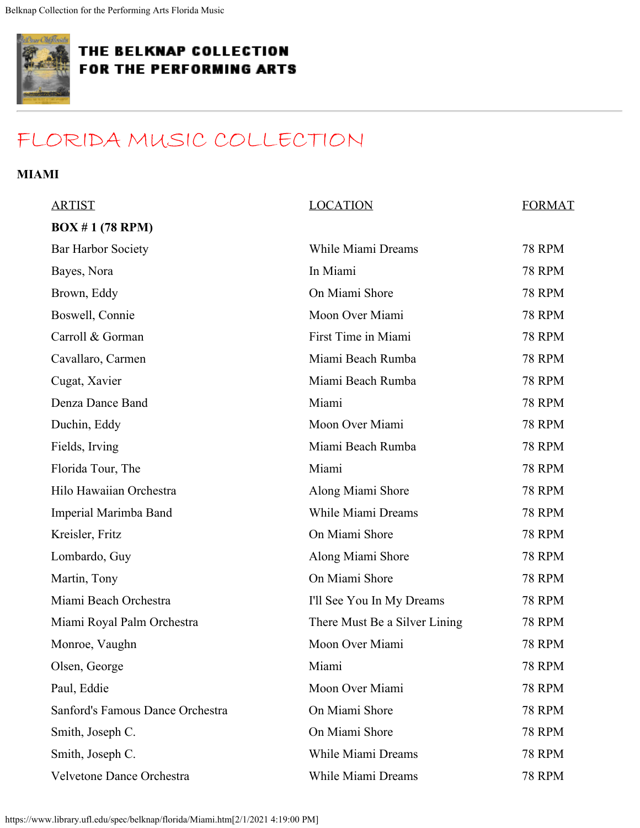<span id="page-9-0"></span>

## [FLORIDA MUSIC COLLECTION](#page-0-0)

#### **MIAMI**

| <b>ARTIST</b>                    | <b>LOCATION</b>               | <b>FORMAT</b> |
|----------------------------------|-------------------------------|---------------|
| BOX # 1 (78 RPM)                 |                               |               |
| <b>Bar Harbor Society</b>        | While Miami Dreams            | <b>78 RPM</b> |
| Bayes, Nora                      | In Miami                      | <b>78 RPM</b> |
| Brown, Eddy                      | On Miami Shore                | <b>78 RPM</b> |
| Boswell, Connie                  | Moon Over Miami               | <b>78 RPM</b> |
| Carroll & Gorman                 | First Time in Miami           | <b>78 RPM</b> |
| Cavallaro, Carmen                | Miami Beach Rumba             | <b>78 RPM</b> |
| Cugat, Xavier                    | Miami Beach Rumba             | <b>78 RPM</b> |
| Denza Dance Band                 | Miami                         | <b>78 RPM</b> |
| Duchin, Eddy                     | Moon Over Miami               | <b>78 RPM</b> |
| Fields, Irving                   | Miami Beach Rumba             | <b>78 RPM</b> |
| Florida Tour, The                | Miami                         | <b>78 RPM</b> |
| Hilo Hawaiian Orchestra          | Along Miami Shore             | <b>78 RPM</b> |
| Imperial Marimba Band            | While Miami Dreams            | <b>78 RPM</b> |
| Kreisler, Fritz                  | On Miami Shore                | <b>78 RPM</b> |
| Lombardo, Guy                    | Along Miami Shore             | <b>78 RPM</b> |
| Martin, Tony                     | On Miami Shore                | <b>78 RPM</b> |
| Miami Beach Orchestra            | I'll See You In My Dreams     | <b>78 RPM</b> |
| Miami Royal Palm Orchestra       | There Must Be a Silver Lining | <b>78 RPM</b> |
| Monroe, Vaughn                   | Moon Over Miami               | <b>78 RPM</b> |
| Olsen, George                    | Miami                         | <b>78 RPM</b> |
| Paul, Eddie                      | Moon Over Miami               | <b>78 RPM</b> |
| Sanford's Famous Dance Orchestra | On Miami Shore                | <b>78 RPM</b> |
| Smith, Joseph C.                 | On Miami Shore                | <b>78 RPM</b> |
| Smith, Joseph C.                 | While Miami Dreams            | <b>78 RPM</b> |
| Velvetone Dance Orchestra        | While Miami Dreams            | <b>78 RPM</b> |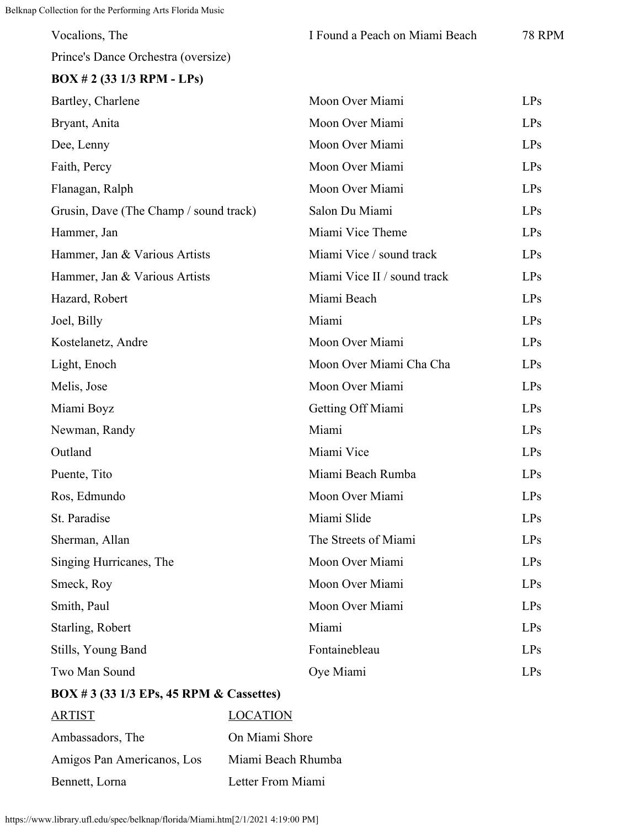| Vocalions, The                           |                    | I Found a Peach on Miami Beach | <b>78 RPM</b> |
|------------------------------------------|--------------------|--------------------------------|---------------|
| Prince's Dance Orchestra (oversize)      |                    |                                |               |
| $BOX \# 2$ (33 1/3 RPM - LPs)            |                    |                                |               |
| Bartley, Charlene                        |                    | Moon Over Miami                | LPs           |
| Bryant, Anita                            |                    | Moon Over Miami                | LPs           |
| Dee, Lenny                               |                    | Moon Over Miami                | LPs           |
| Faith, Percy                             |                    | Moon Over Miami                | LPs           |
| Flanagan, Ralph                          |                    | Moon Over Miami                | LPs           |
| Grusin, Dave (The Champ / sound track)   |                    | Salon Du Miami                 | LPs           |
| Hammer, Jan                              |                    | Miami Vice Theme               | LPs           |
| Hammer, Jan & Various Artists            |                    | Miami Vice / sound track       | LPs           |
| Hammer, Jan & Various Artists            |                    | Miami Vice II / sound track    | LPs           |
| Hazard, Robert                           |                    | Miami Beach                    | LPs           |
| Joel, Billy                              |                    | Miami                          | LPs           |
| Kostelanetz, Andre                       |                    | Moon Over Miami                | LPs           |
| Light, Enoch                             |                    | Moon Over Miami Cha Cha        | LPs           |
| Melis, Jose                              |                    | Moon Over Miami                | LPs           |
| Miami Boyz                               |                    | Getting Off Miami              | LPs           |
| Newman, Randy                            |                    | Miami                          | LPs           |
| Outland                                  |                    | Miami Vice                     | LPs           |
| Puente, Tito                             |                    | Miami Beach Rumba              | LPs           |
| Ros, Edmundo                             |                    | Moon Over Miami                | LPs           |
| St. Paradise                             |                    | Miami Slide                    | <b>LPs</b>    |
| Sherman, Allan                           |                    | The Streets of Miami           | LPs           |
| Singing Hurricanes, The                  |                    | Moon Over Miami                | LPs           |
| Smeck, Roy                               |                    | Moon Over Miami                | LPs           |
| Smith, Paul                              |                    | Moon Over Miami                | LPs           |
| Starling, Robert                         |                    | Miami                          | LPs           |
| Stills, Young Band                       |                    | Fontainebleau                  | LPs           |
| Two Man Sound                            |                    | Oye Miami                      | LPs           |
| BOX # 3 (33 1/3 EPs, 45 RPM & Cassettes) |                    |                                |               |
| <b>ARTIST</b>                            | <b>LOCATION</b>    |                                |               |
| Ambassadors, The                         | On Miami Shore     |                                |               |
| Amigos Pan Americanos, Los               | Miami Beach Rhumba |                                |               |
| Bennett, Lorna<br>Letter From Miami      |                    |                                |               |

https://www.library.ufl.edu/spec/belknap/florida/Miami.htm[2/1/2021 4:19:00 PM]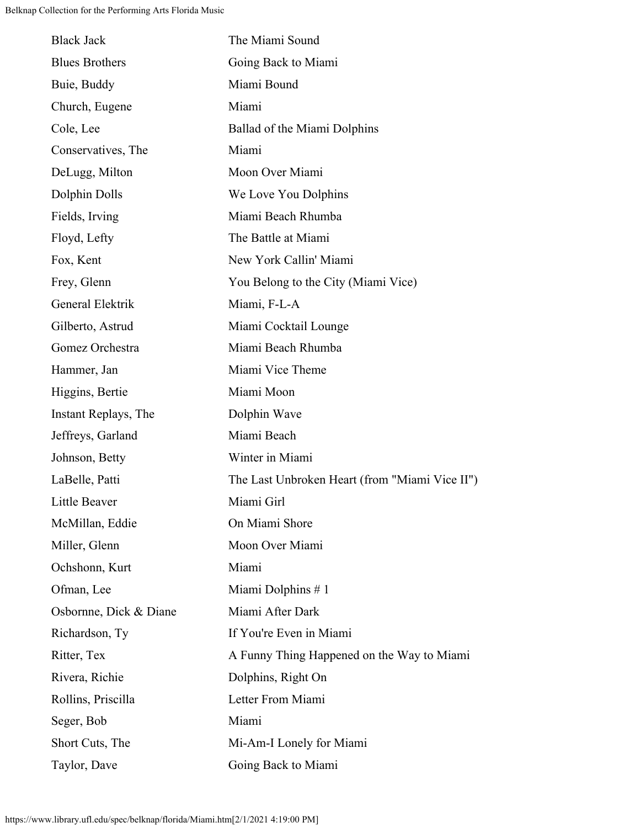| <b>Black Jack</b>      | The Miami Sound                                |
|------------------------|------------------------------------------------|
| <b>Blues Brothers</b>  | Going Back to Miami                            |
| Buie, Buddy            | Miami Bound                                    |
| Church, Eugene         | Miami                                          |
| Cole, Lee              | Ballad of the Miami Dolphins                   |
| Conservatives, The     | Miami                                          |
| DeLugg, Milton         | Moon Over Miami                                |
| Dolphin Dolls          | We Love You Dolphins                           |
| Fields, Irving         | Miami Beach Rhumba                             |
| Floyd, Lefty           | The Battle at Miami                            |
| Fox, Kent              | New York Callin' Miami                         |
| Frey, Glenn            | You Belong to the City (Miami Vice)            |
| General Elektrik       | Miami, F-L-A                                   |
| Gilberto, Astrud       | Miami Cocktail Lounge                          |
| Gomez Orchestra        | Miami Beach Rhumba                             |
| Hammer, Jan            | Miami Vice Theme                               |
| Higgins, Bertie        | Miami Moon                                     |
| Instant Replays, The   | Dolphin Wave                                   |
| Jeffreys, Garland      | Miami Beach                                    |
| Johnson, Betty         | Winter in Miami                                |
| LaBelle, Patti         | The Last Unbroken Heart (from "Miami Vice II") |
| Little Beaver          | Miami Girl                                     |
| McMillan, Eddie        | On Miami Shore                                 |
| Miller, Glenn          | Moon Over Miami                                |
| Ochshonn, Kurt         | Miami                                          |
| Ofman, Lee             | Miami Dolphins #1                              |
| Osbornne, Dick & Diane | Miami After Dark                               |
| Richardson, Ty         | If You're Even in Miami                        |
| Ritter, Tex            | A Funny Thing Happened on the Way to Miami     |
| Rivera, Richie         | Dolphins, Right On                             |
| Rollins, Priscilla     | Letter From Miami                              |
| Seger, Bob             | Miami                                          |
| Short Cuts, The        | Mi-Am-I Lonely for Miami                       |
| Taylor, Dave           | Going Back to Miami                            |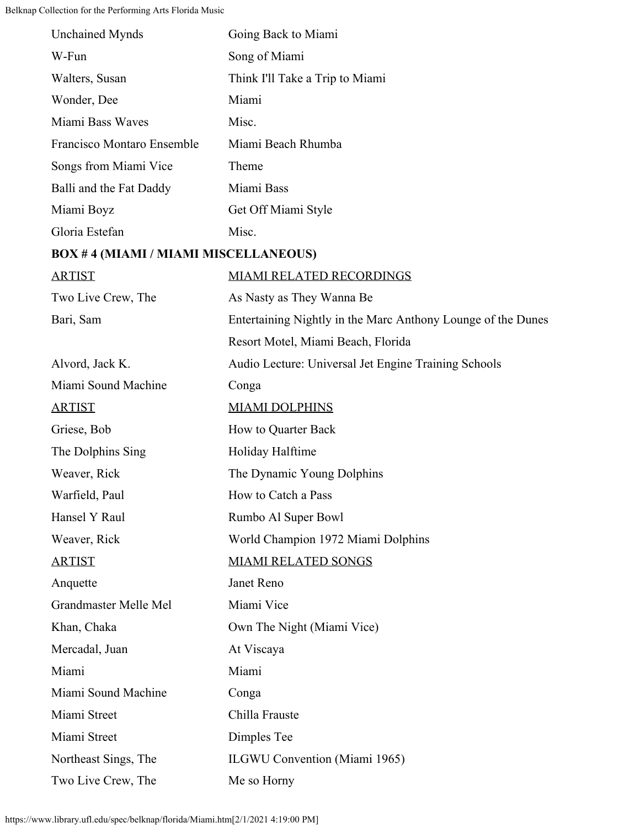| <b>Unchained Mynds</b>                      | Going Back to Miami                                          |
|---------------------------------------------|--------------------------------------------------------------|
| W-Fun                                       | Song of Miami                                                |
| Walters, Susan                              | Think I'll Take a Trip to Miami                              |
| Wonder, Dee                                 | Miami                                                        |
| Miami Bass Waves                            | Misc.                                                        |
| Francisco Montaro Ensemble                  | Miami Beach Rhumba                                           |
| Songs from Miami Vice                       | Theme                                                        |
| Balli and the Fat Daddy                     | Miami Bass                                                   |
| Miami Boyz                                  | Get Off Miami Style                                          |
| Gloria Estefan                              | Misc.                                                        |
| <b>BOX #4 (MIAMI / MIAMI MISCELLANEOUS)</b> |                                                              |
| <b>ARTIST</b>                               | <b>MIAMI RELATED RECORDINGS</b>                              |
| Two Live Crew, The                          | As Nasty as They Wanna Be                                    |
| Bari, Sam                                   | Entertaining Nightly in the Marc Anthony Lounge of the Dunes |
|                                             | Resort Motel, Miami Beach, Florida                           |
| Alvord, Jack K.                             | Audio Lecture: Universal Jet Engine Training Schools         |
| Miami Sound Machine                         | Conga                                                        |
| <b>ARTIST</b>                               | <b>MIAMI DOLPHINS</b>                                        |
| Griese, Bob                                 | How to Quarter Back                                          |
| The Dolphins Sing                           | Holiday Halftime                                             |
| Weaver, Rick                                | The Dynamic Young Dolphins                                   |
| Warfield, Paul                              | How to Catch a Pass                                          |
| Hansel Y Raul                               | Rumbo Al Super Bowl                                          |
| Weaver, Rick                                | World Champion 1972 Miami Dolphins                           |
| <b>ARTIST</b>                               | <b>MIAMI RELATED SONGS</b>                                   |
| Anquette                                    | Janet Reno                                                   |
| Grandmaster Melle Mel                       | Miami Vice                                                   |
| Khan, Chaka                                 | Own The Night (Miami Vice)                                   |
| Mercadal, Juan                              | At Viscaya                                                   |
| Miami                                       | Miami                                                        |
| Miami Sound Machine                         | Conga                                                        |
| Miami Street                                | Chilla Frauste                                               |
| Miami Street                                | Dimples Tee                                                  |
| Northeast Sings, The                        | <b>ILGWU Convention (Miami 1965)</b>                         |
| Two Live Crew, The                          | Me so Horny                                                  |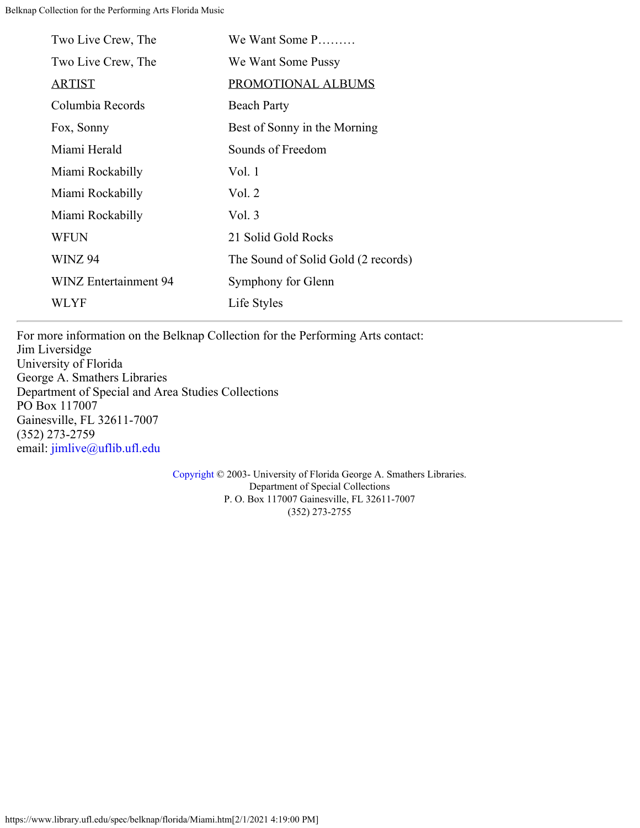| Two Live Crew, The           | We Want Some P                      |
|------------------------------|-------------------------------------|
| Two Live Crew, The           | We Want Some Pussy                  |
| <u>ARTIST</u>                | PROMOTIONAL ALBUMS                  |
| Columbia Records             | <b>Beach Party</b>                  |
| Fox, Sonny                   | Best of Sonny in the Morning        |
| Miami Herald                 | Sounds of Freedom                   |
| Miami Rockabilly             | Vol.1                               |
| Miami Rockabilly             | Vol. 2                              |
| Miami Rockabilly             | Vol. 3                              |
| <b>WFUN</b>                  | 21 Solid Gold Rocks                 |
| <b>WINZ 94</b>               | The Sound of Solid Gold (2 records) |
| <b>WINZ Entertainment 94</b> | Symphony for Glenn                  |
| WLYF                         | Life Styles                         |

For more information on the Belknap Collection for the Performing Arts contact: Jim Liversidge University of Florida George A. Smathers Libraries Department of Special and Area Studies Collections PO Box 117007 Gainesville, FL 32611-7007 (352) 273-2759 email: [jimlive@uflib.ufl.edu](mailto:jimlive@uflib.ufl.edu)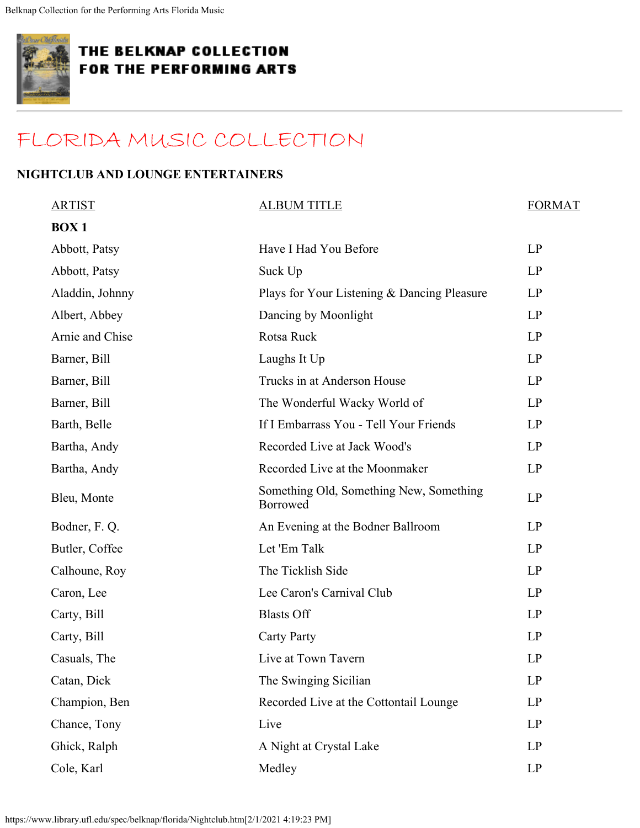<span id="page-14-0"></span>

## [FLORIDA MUSIC COLLECTION](#page-0-0)

### **NIGHTCLUB AND LOUNGE ENTERTAINERS**

| <b>ARTIST</b>   | <b>ALBUM TITLE</b>                                  | <b>FORMAT</b>          |
|-----------------|-----------------------------------------------------|------------------------|
| <b>BOX1</b>     |                                                     |                        |
| Abbott, Patsy   | Have I Had You Before                               | LP                     |
| Abbott, Patsy   | Suck Up                                             | LP                     |
| Aladdin, Johnny | Plays for Your Listening & Dancing Pleasure         | LP                     |
| Albert, Abbey   | Dancing by Moonlight                                | LP                     |
| Arnie and Chise | Rotsa Ruck                                          | LP                     |
| Barner, Bill    | Laughs It Up                                        | LP                     |
| Barner, Bill    | Trucks in at Anderson House                         | LP                     |
| Barner, Bill    | The Wonderful Wacky World of                        | LP                     |
| Barth, Belle    | If I Embarrass You - Tell Your Friends              | LP                     |
| Bartha, Andy    | Recorded Live at Jack Wood's                        | LP                     |
| Bartha, Andy    | Recorded Live at the Moonmaker                      | LP                     |
| Bleu, Monte     | Something Old, Something New, Something<br>Borrowed | LP                     |
| Bodner, F. Q.   | An Evening at the Bodner Ballroom                   | LP                     |
| Butler, Coffee  | Let 'Em Talk                                        | LP                     |
| Calhoune, Roy   | The Ticklish Side                                   | LP                     |
| Caron, Lee      | Lee Caron's Carnival Club                           | LP                     |
| Carty, Bill     | <b>Blasts Off</b>                                   | LP                     |
| Carty, Bill     | <b>Carty Party</b>                                  | LP                     |
| Casuals, The    | Live at Town Tavern                                 | LP                     |
| Catan, Dick     | The Swinging Sicilian                               | LP                     |
| Champion, Ben   | Recorded Live at the Cottontail Lounge              | LP                     |
| Chance, Tony    | Live                                                | LP                     |
| Ghick, Ralph    | A Night at Crystal Lake                             | LP                     |
| Cole, Karl      | Medley                                              | $\mathbf{L}\mathbf{P}$ |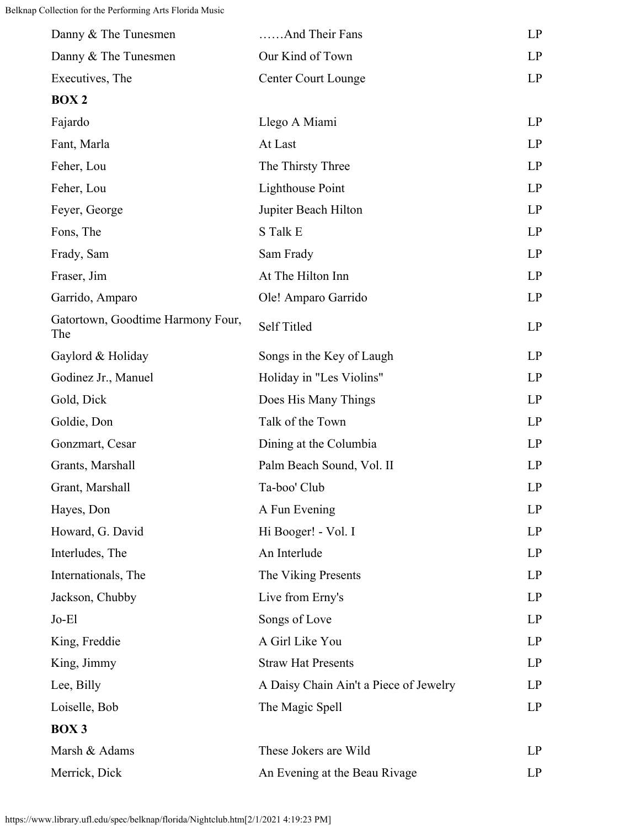| Danny & The Tunesmen                     | And Their Fans                         | LP |
|------------------------------------------|----------------------------------------|----|
| Danny & The Tunesmen                     | Our Kind of Town                       | LP |
| Executives, The                          | <b>Center Court Lounge</b>             | LP |
| <b>BOX2</b>                              |                                        |    |
| Fajardo                                  | Llego A Miami                          | LP |
| Fant, Marla                              | At Last                                | LP |
| Feher, Lou                               | The Thirsty Three                      | LP |
| Feher, Lou                               | <b>Lighthouse Point</b>                | LP |
| Feyer, George                            | Jupiter Beach Hilton                   | LP |
| Fons, The                                | S Talk E                               | LP |
| Frady, Sam                               | Sam Frady                              | LP |
| Fraser, Jim                              | At The Hilton Inn                      | LP |
| Garrido, Amparo                          | Ole! Amparo Garrido                    | LP |
| Gatortown, Goodtime Harmony Four,<br>The | Self Titled                            | LP |
| Gaylord & Holiday                        | Songs in the Key of Laugh              | LP |
| Godinez Jr., Manuel                      | Holiday in "Les Violins"               | LP |
| Gold, Dick                               | Does His Many Things                   | LP |
| Goldie, Don                              | Talk of the Town                       | LP |
| Gonzmart, Cesar                          | Dining at the Columbia                 | LP |
| Grants, Marshall                         | Palm Beach Sound, Vol. II              | LP |
| Grant, Marshall                          | Ta-boo' Club                           | LP |
| Hayes, Don                               | A Fun Evening                          | LP |
| Howard, G. David                         | Hi Booger! - Vol. I                    | LP |
| Interludes, The                          | An Interlude                           | LP |
| Internationals, The                      | The Viking Presents                    | LP |
| Jackson, Chubby                          | Live from Erny's                       | LP |
| $Jo-E1$                                  | Songs of Love                          | LP |
| King, Freddie                            | A Girl Like You                        | LP |
| King, Jimmy                              | <b>Straw Hat Presents</b>              | LP |
| Lee, Billy                               | A Daisy Chain Ain't a Piece of Jewelry | LP |
| Loiselle, Bob                            | The Magic Spell                        | LP |
| BOX 3                                    |                                        |    |
| Marsh & Adams                            | These Jokers are Wild                  | LP |
| Merrick, Dick                            | An Evening at the Beau Rivage          | LP |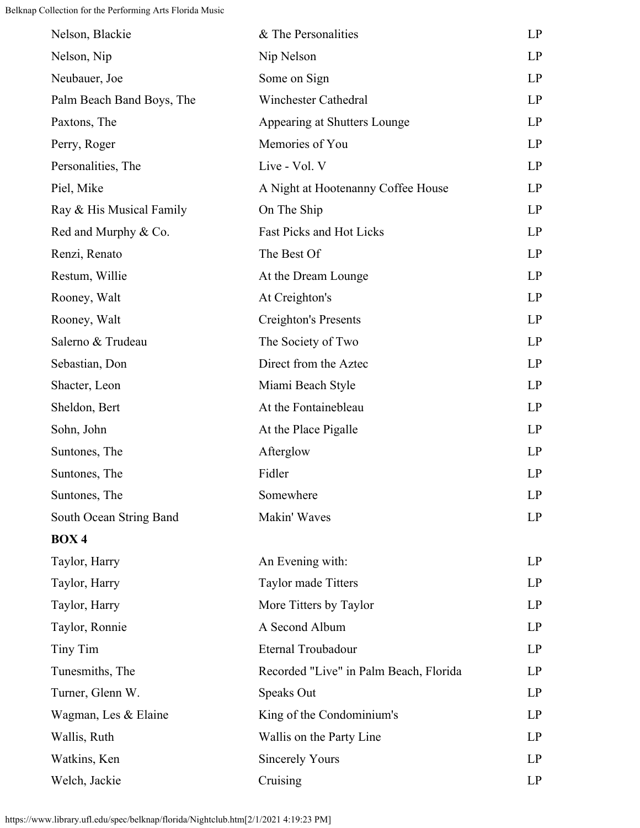| Nelson, Blackie           | & The Personalities                    | LP |
|---------------------------|----------------------------------------|----|
| Nelson, Nip               | Nip Nelson                             | LP |
| Neubauer, Joe             | Some on Sign                           | LP |
| Palm Beach Band Boys, The | Winchester Cathedral                   | LP |
| Paxtons, The              | Appearing at Shutters Lounge           | LP |
| Perry, Roger              | Memories of You                        | LP |
| Personalities, The        | Live - Vol. V                          | LP |
| Piel, Mike                | A Night at Hootenanny Coffee House     | LP |
| Ray & His Musical Family  | On The Ship                            | LP |
| Red and Murphy & Co.      | Fast Picks and Hot Licks               | LP |
| Renzi, Renato             | The Best Of                            | LP |
| Restum, Willie            | At the Dream Lounge                    | LP |
| Rooney, Walt              | At Creighton's                         | LP |
| Rooney, Walt              | Creighton's Presents                   | LP |
| Salerno & Trudeau         | The Society of Two                     | LP |
| Sebastian, Don            | Direct from the Aztec                  | LP |
| Shacter, Leon             | Miami Beach Style                      | LP |
| Sheldon, Bert             | At the Fontainebleau                   | LP |
| Sohn, John                | At the Place Pigalle                   | LP |
| Suntones, The             | Afterglow                              | LP |
| Suntones, The             | Fidler                                 | LP |
| Suntones, The             | Somewhere                              | LP |
| South Ocean String Band   | Makin' Waves                           | LP |
| <b>BOX4</b>               |                                        |    |
| Taylor, Harry             | An Evening with:                       | LP |
| Taylor, Harry             | Taylor made Titters                    | LP |
| Taylor, Harry             | More Titters by Taylor                 | LP |
| Taylor, Ronnie            | A Second Album                         | LP |
| Tiny Tim                  | Eternal Troubadour                     | LP |
| Tunesmiths, The           | Recorded "Live" in Palm Beach, Florida | LP |
| Turner, Glenn W.          | Speaks Out                             | LP |
| Wagman, Les & Elaine      | King of the Condominium's              | LP |
| Wallis, Ruth              | Wallis on the Party Line               | LP |
| Watkins, Ken              | <b>Sincerely Yours</b>                 | LP |
| Welch, Jackie             | Cruising                               | LP |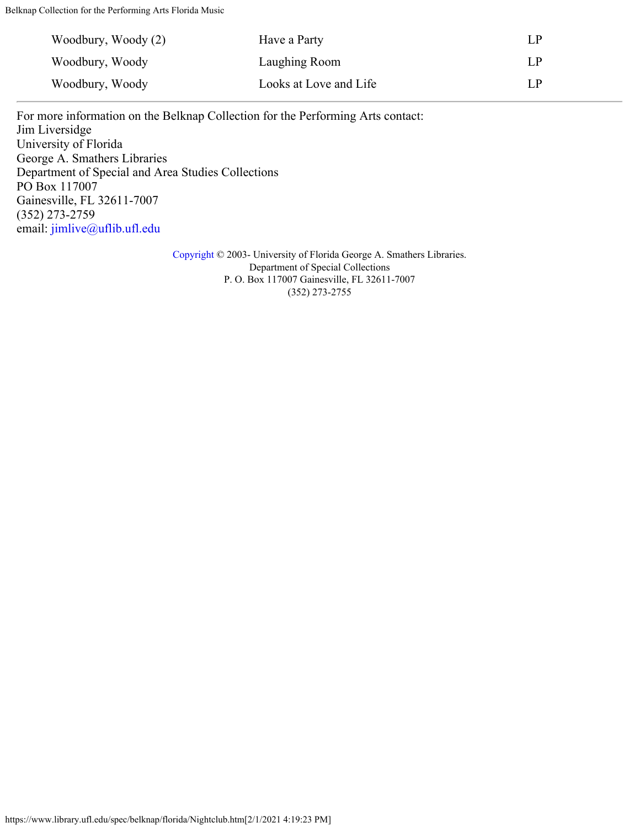| Woodbury, Woody (2) | Have a Party           | LР |
|---------------------|------------------------|----|
| Woodbury, Woody     | Laughing Room          | LР |
| Woodbury, Woody     | Looks at Love and Life | LР |

For more information on the Belknap Collection for the Performing Arts contact: Jim Liversidge University of Florida George A. Smathers Libraries Department of Special and Area Studies Collections PO Box 117007 Gainesville, FL 32611-7007 (352) 273-2759 email: [jimlive@uflib.ufl.edu](mailto:jimlive@uflib.ufl.edu)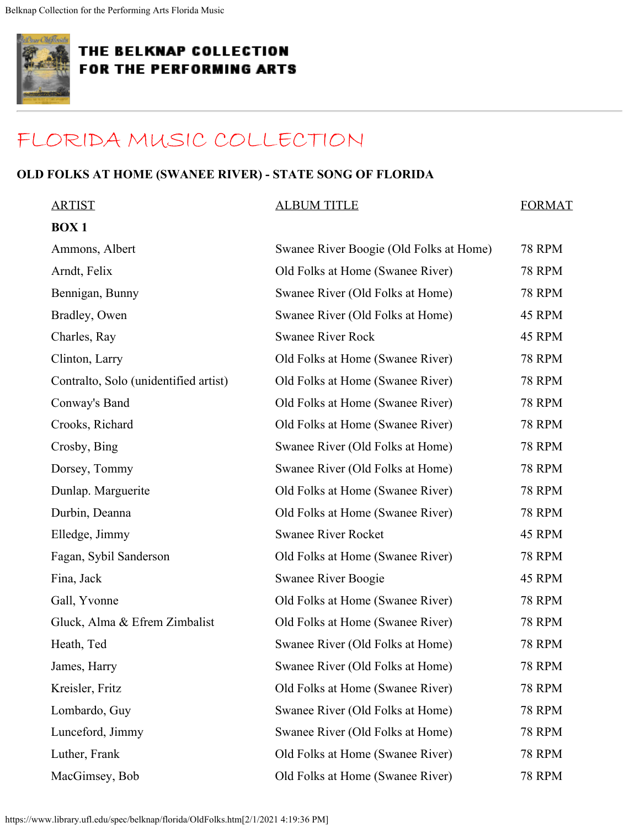<span id="page-18-0"></span>

## [FLORIDA MUSIC COLLECTION](#page-0-0)

#### **OLD FOLKS AT HOME (SWANEE RIVER) - STATE SONG OF FLORIDA**

| <b>ARTIST</b>                         | <b>ALBUM TITLE</b>                      | <b>FORMAT</b> |
|---------------------------------------|-----------------------------------------|---------------|
| <b>BOX1</b>                           |                                         |               |
| Ammons, Albert                        | Swanee River Boogie (Old Folks at Home) | <b>78 RPM</b> |
| Arndt, Felix                          | Old Folks at Home (Swanee River)        | <b>78 RPM</b> |
| Bennigan, Bunny                       | Swanee River (Old Folks at Home)        | <b>78 RPM</b> |
| Bradley, Owen                         | Swanee River (Old Folks at Home)        | 45 RPM        |
| Charles, Ray                          | <b>Swanee River Rock</b>                | 45 RPM        |
| Clinton, Larry                        | Old Folks at Home (Swanee River)        | <b>78 RPM</b> |
| Contralto, Solo (unidentified artist) | Old Folks at Home (Swanee River)        | <b>78 RPM</b> |
| Conway's Band                         | Old Folks at Home (Swanee River)        | <b>78 RPM</b> |
| Crooks, Richard                       | Old Folks at Home (Swanee River)        | <b>78 RPM</b> |
| Crosby, Bing                          | Swanee River (Old Folks at Home)        | <b>78 RPM</b> |
| Dorsey, Tommy                         | Swanee River (Old Folks at Home)        | <b>78 RPM</b> |
| Dunlap. Marguerite                    | Old Folks at Home (Swanee River)        | <b>78 RPM</b> |
| Durbin, Deanna                        | Old Folks at Home (Swanee River)        | <b>78 RPM</b> |
| Elledge, Jimmy                        | <b>Swanee River Rocket</b>              | 45 RPM        |
| Fagan, Sybil Sanderson                | Old Folks at Home (Swanee River)        | <b>78 RPM</b> |
| Fina, Jack                            | Swanee River Boogie                     | 45 RPM        |
| Gall, Yvonne                          | Old Folks at Home (Swanee River)        | <b>78 RPM</b> |
| Gluck, Alma & Efrem Zimbalist         | Old Folks at Home (Swanee River)        | <b>78 RPM</b> |
| Heath, Ted                            | Swanee River (Old Folks at Home)        | <b>78 RPM</b> |
| James, Harry                          | Swanee River (Old Folks at Home)        | <b>78 RPM</b> |
| Kreisler, Fritz                       | Old Folks at Home (Swanee River)        | <b>78 RPM</b> |
| Lombardo, Guy                         | Swanee River (Old Folks at Home)        | <b>78 RPM</b> |
| Lunceford, Jimmy                      | Swanee River (Old Folks at Home)        | <b>78 RPM</b> |
| Luther, Frank                         | Old Folks at Home (Swanee River)        | <b>78 RPM</b> |
| MacGimsey, Bob                        | Old Folks at Home (Swanee River)        | <b>78 RPM</b> |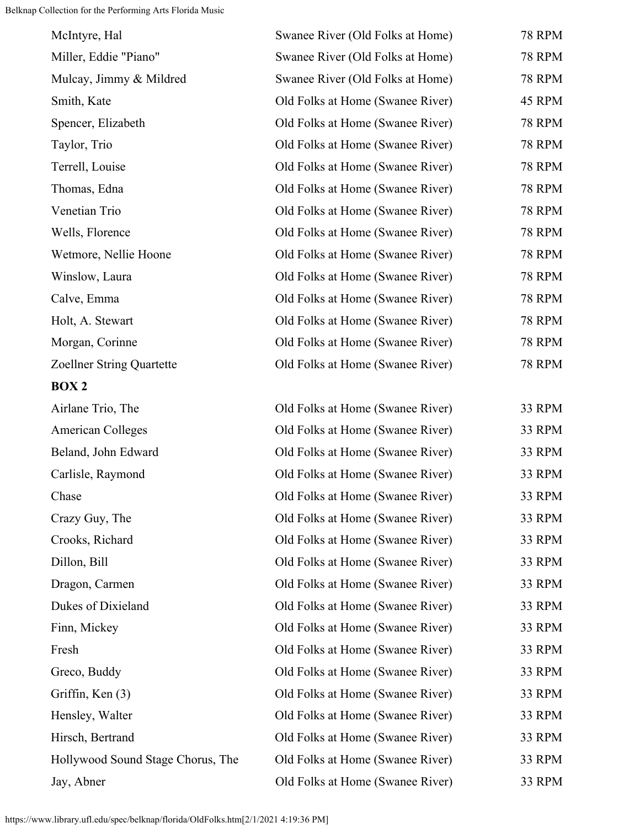| McIntyre, Hal                     | Swanee River (Old Folks at Home) | <b>78 RPM</b> |
|-----------------------------------|----------------------------------|---------------|
| Miller, Eddie "Piano"             | Swanee River (Old Folks at Home) | <b>78 RPM</b> |
| Mulcay, Jimmy & Mildred           | Swanee River (Old Folks at Home) | <b>78 RPM</b> |
| Smith, Kate                       | Old Folks at Home (Swanee River) | 45 RPM        |
| Spencer, Elizabeth                | Old Folks at Home (Swanee River) | <b>78 RPM</b> |
| Taylor, Trio                      | Old Folks at Home (Swanee River) | <b>78 RPM</b> |
| Terrell, Louise                   | Old Folks at Home (Swanee River) | <b>78 RPM</b> |
| Thomas, Edna                      | Old Folks at Home (Swanee River) | 78 RPM        |
| Venetian Trio                     | Old Folks at Home (Swanee River) | <b>78 RPM</b> |
| Wells, Florence                   | Old Folks at Home (Swanee River) | <b>78 RPM</b> |
| Wetmore, Nellie Hoone             | Old Folks at Home (Swanee River) | <b>78 RPM</b> |
| Winslow, Laura                    | Old Folks at Home (Swanee River) | <b>78 RPM</b> |
| Calve, Emma                       | Old Folks at Home (Swanee River) | <b>78 RPM</b> |
| Holt, A. Stewart                  | Old Folks at Home (Swanee River) | <b>78 RPM</b> |
| Morgan, Corinne                   | Old Folks at Home (Swanee River) | <b>78 RPM</b> |
| Zoellner String Quartette         | Old Folks at Home (Swanee River) | <b>78 RPM</b> |
| BOX 2                             |                                  |               |
| Airlane Trio, The                 | Old Folks at Home (Swanee River) | 33 RPM        |
| <b>American Colleges</b>          | Old Folks at Home (Swanee River) | 33 RPM        |
| Beland, John Edward               | Old Folks at Home (Swanee River) | 33 RPM        |
| Carlisle, Raymond                 | Old Folks at Home (Swanee River) | 33 RPM        |
| Chase                             | Old Folks at Home (Swanee River) | 33 RPM        |
| Crazy Guy, The                    | Old Folks at Home (Swanee River) | 33 RPM        |
| Crooks, Richard                   | Old Folks at Home (Swanee River) | 33 RPM        |
| Dillon, Bill                      | Old Folks at Home (Swanee River) | 33 RPM        |
| Dragon, Carmen                    | Old Folks at Home (Swanee River) | 33 RPM        |
| Dukes of Dixieland                | Old Folks at Home (Swanee River) | 33 RPM        |
| Finn, Mickey                      | Old Folks at Home (Swanee River) | 33 RPM        |
| Fresh                             | Old Folks at Home (Swanee River) | 33 RPM        |
| Greco, Buddy                      | Old Folks at Home (Swanee River) | 33 RPM        |
| Griffin, Ken (3)                  | Old Folks at Home (Swanee River) | 33 RPM        |
| Hensley, Walter                   | Old Folks at Home (Swanee River) | 33 RPM        |
| Hirsch, Bertrand                  | Old Folks at Home (Swanee River) | 33 RPM        |
| Hollywood Sound Stage Chorus, The | Old Folks at Home (Swanee River) | 33 RPM        |
| Jay, Abner                        | Old Folks at Home (Swanee River) | 33 RPM        |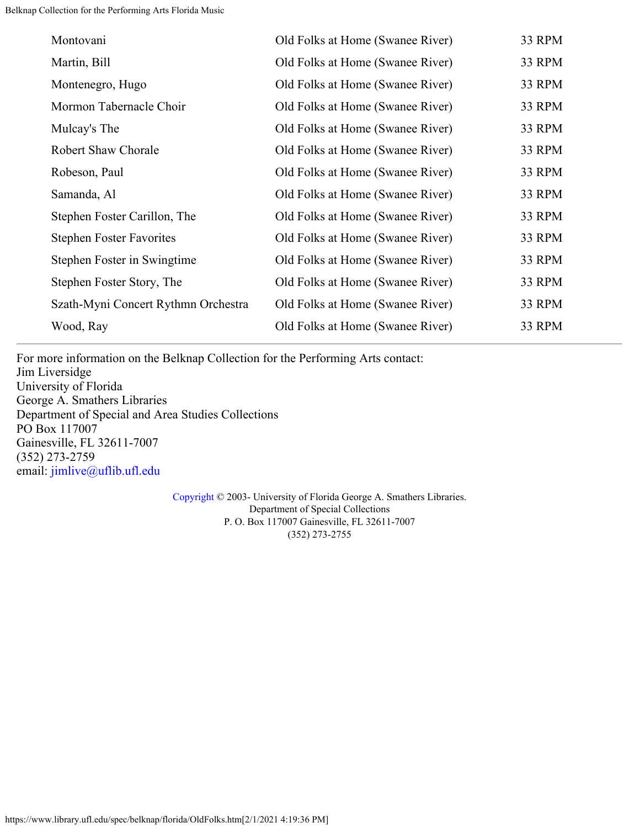| Montovani                           | Old Folks at Home (Swanee River) | 33 RPM |
|-------------------------------------|----------------------------------|--------|
| Martin, Bill                        | Old Folks at Home (Swanee River) | 33 RPM |
| Montenegro, Hugo                    | Old Folks at Home (Swanee River) | 33 RPM |
| Mormon Tabernacle Choir             | Old Folks at Home (Swanee River) | 33 RPM |
| Mulcay's The                        | Old Folks at Home (Swanee River) | 33 RPM |
| <b>Robert Shaw Chorale</b>          | Old Folks at Home (Swanee River) | 33 RPM |
| Robeson, Paul                       | Old Folks at Home (Swanee River) | 33 RPM |
| Samanda, Al                         | Old Folks at Home (Swanee River) | 33 RPM |
| Stephen Foster Carillon, The        | Old Folks at Home (Swanee River) | 33 RPM |
| <b>Stephen Foster Favorites</b>     | Old Folks at Home (Swanee River) | 33 RPM |
| Stephen Foster in Swingtime         | Old Folks at Home (Swanee River) | 33 RPM |
| Stephen Foster Story, The           | Old Folks at Home (Swanee River) | 33 RPM |
| Szath-Myni Concert Rythmn Orchestra | Old Folks at Home (Swanee River) | 33 RPM |
| Wood, Ray                           | Old Folks at Home (Swanee River) | 33 RPM |

For more information on the Belknap Collection for the Performing Arts contact: Jim Liversidge University of Florida George A. Smathers Libraries Department of Special and Area Studies Collections PO Box 117007 Gainesville, FL 32611-7007 (352) 273-2759 email: [jimlive@uflib.ufl.edu](mailto:jimlive@uflib.ufl.edu)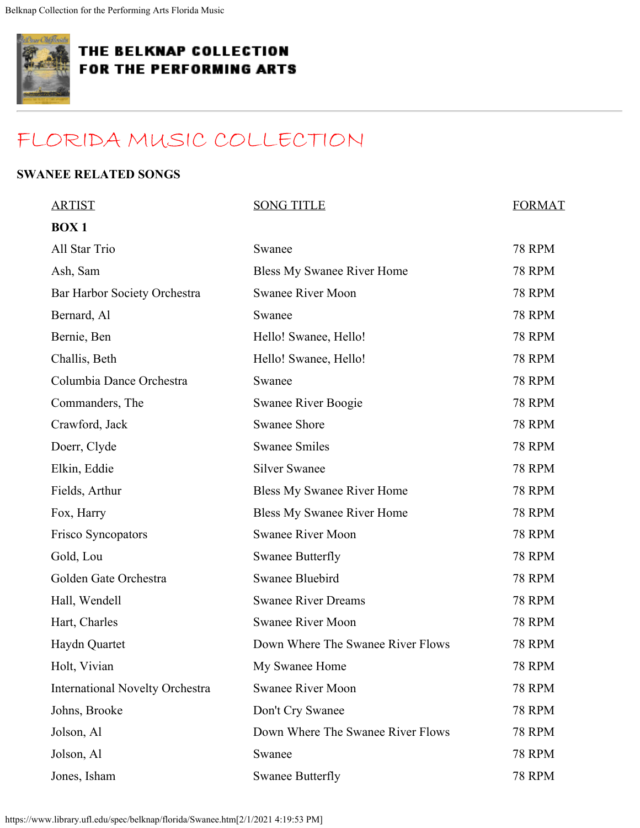<span id="page-21-0"></span>

## [FLORIDA MUSIC COLLECTION](#page-0-0)

#### **SWANEE RELATED SONGS**

| <b>ARTIST</b>                          | <b>SONG TITLE</b>                 | <b>FORMAT</b> |
|----------------------------------------|-----------------------------------|---------------|
| <b>BOX1</b>                            |                                   |               |
| All Star Trio                          | Swanee                            | <b>78 RPM</b> |
| Ash, Sam                               | Bless My Swanee River Home        | <b>78 RPM</b> |
| Bar Harbor Society Orchestra           | <b>Swanee River Moon</b>          | <b>78 RPM</b> |
| Bernard, Al                            | Swanee                            | <b>78 RPM</b> |
| Bernie, Ben                            | Hello! Swanee, Hello!             | <b>78 RPM</b> |
| Challis, Beth                          | Hello! Swanee, Hello!             | <b>78 RPM</b> |
| Columbia Dance Orchestra               | Swanee                            | <b>78 RPM</b> |
| Commanders, The                        | Swanee River Boogie               | <b>78 RPM</b> |
| Crawford, Jack                         | <b>Swanee Shore</b>               | <b>78 RPM</b> |
| Doerr, Clyde                           | <b>Swanee Smiles</b>              | <b>78 RPM</b> |
| Elkin, Eddie                           | <b>Silver Swanee</b>              | <b>78 RPM</b> |
| Fields, Arthur                         | <b>Bless My Swanee River Home</b> | <b>78 RPM</b> |
| Fox, Harry                             | Bless My Swanee River Home        | <b>78 RPM</b> |
| Frisco Syncopators                     | <b>Swanee River Moon</b>          | <b>78 RPM</b> |
| Gold, Lou                              | <b>Swanee Butterfly</b>           | <b>78 RPM</b> |
| Golden Gate Orchestra                  | Swanee Bluebird                   | <b>78 RPM</b> |
| Hall, Wendell                          | <b>Swanee River Dreams</b>        | <b>78 RPM</b> |
| Hart, Charles                          | <b>Swanee River Moon</b>          | <b>78 RPM</b> |
| Haydn Quartet                          | Down Where The Swanee River Flows | <b>78 RPM</b> |
| Holt, Vivian                           | My Swanee Home                    | 78 RPM        |
| <b>International Novelty Orchestra</b> | <b>Swanee River Moon</b>          | <b>78 RPM</b> |
| Johns, Brooke                          | Don't Cry Swanee                  | <b>78 RPM</b> |
| Jolson, Al                             | Down Where The Swanee River Flows | <b>78 RPM</b> |
| Jolson, Al                             | Swanee                            | <b>78 RPM</b> |
| Jones, Isham                           | <b>Swanee Butterfly</b>           | <b>78 RPM</b> |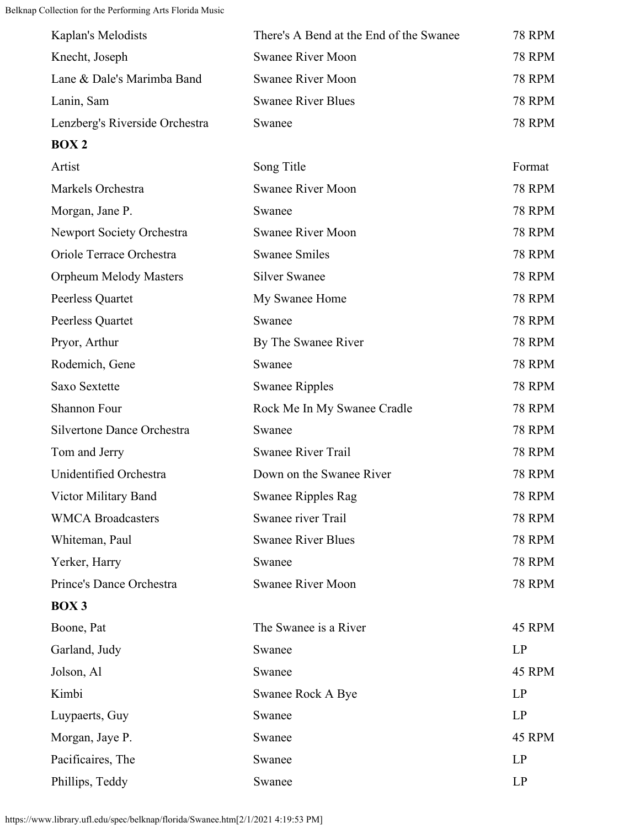| Kaplan's Melodists             | There's A Bend at the End of the Swanee | <b>78 RPM</b> |
|--------------------------------|-----------------------------------------|---------------|
| Knecht, Joseph                 | <b>Swanee River Moon</b>                | <b>78 RPM</b> |
| Lane & Dale's Marimba Band     | <b>Swanee River Moon</b>                | <b>78 RPM</b> |
| Lanin, Sam                     | <b>Swanee River Blues</b>               | <b>78 RPM</b> |
| Lenzberg's Riverside Orchestra | Swanee                                  | <b>78 RPM</b> |
| <b>BOX2</b>                    |                                         |               |
| Artist                         | Song Title                              | Format        |
| Markels Orchestra              | <b>Swanee River Moon</b>                | <b>78 RPM</b> |
| Morgan, Jane P.                | Swanee                                  | <b>78 RPM</b> |
| Newport Society Orchestra      | <b>Swanee River Moon</b>                | <b>78 RPM</b> |
| Oriole Terrace Orchestra       | <b>Swanee Smiles</b>                    | <b>78 RPM</b> |
| <b>Orpheum Melody Masters</b>  | <b>Silver Swanee</b>                    | <b>78 RPM</b> |
| Peerless Quartet               | My Swanee Home                          | <b>78 RPM</b> |
| Peerless Quartet               | Swanee                                  | <b>78 RPM</b> |
| Pryor, Arthur                  | By The Swanee River                     | <b>78 RPM</b> |
| Rodemich, Gene                 | Swanee                                  | <b>78 RPM</b> |
| Saxo Sextette                  | <b>Swanee Ripples</b>                   | <b>78 RPM</b> |
| Shannon Four                   | Rock Me In My Swanee Cradle             | <b>78 RPM</b> |
| Silvertone Dance Orchestra     | Swanee                                  | <b>78 RPM</b> |
| Tom and Jerry                  | <b>Swanee River Trail</b>               | <b>78 RPM</b> |
| Unidentified Orchestra         | Down on the Swanee River                | <b>78 RPM</b> |
| Victor Military Band           | <b>Swanee Ripples Rag</b>               | <b>78 RPM</b> |
| <b>WMCA Broadcasters</b>       | Swanee river Trail                      | <b>78 RPM</b> |
| Whiteman, Paul                 | <b>Swanee River Blues</b>               | <b>78 RPM</b> |
| Yerker, Harry                  | Swanee                                  | <b>78 RPM</b> |
| Prince's Dance Orchestra       | <b>Swanee River Moon</b>                | <b>78 RPM</b> |
| <b>BOX3</b>                    |                                         |               |
| Boone, Pat                     | The Swanee is a River                   | 45 RPM        |
| Garland, Judy                  | Swanee                                  | LP            |
| Jolson, Al                     | Swanee                                  | 45 RPM        |
| Kimbi                          | Swanee Rock A Bye                       | LP            |
| Luypaerts, Guy                 | Swanee                                  | LP            |
| Morgan, Jaye P.                | Swanee                                  | 45 RPM        |
| Pacificaires, The              | Swanee                                  | LP            |
| Phillips, Teddy                | Swanee                                  | LP            |

https://www.library.ufl.edu/spec/belknap/florida/Swanee.htm[2/1/2021 4:19:53 PM]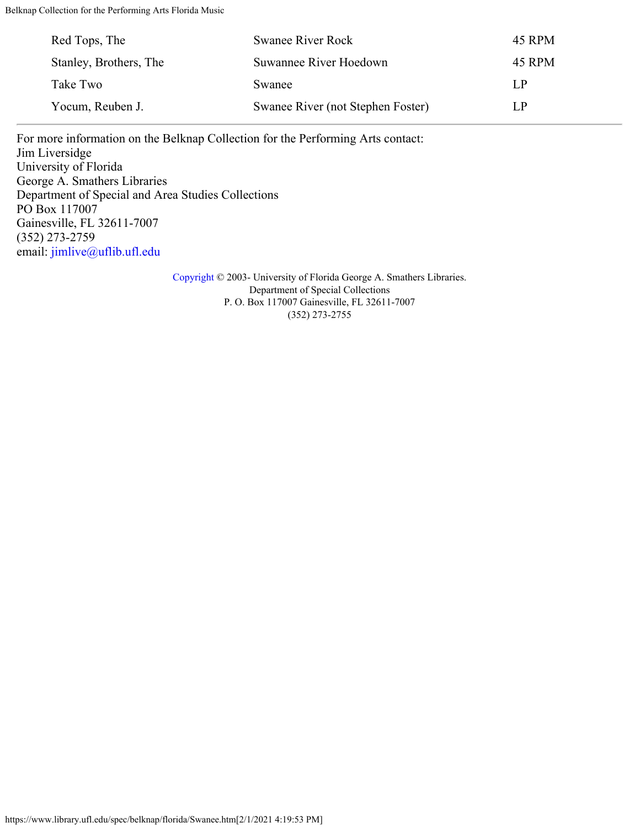| Red Tops, The          | <b>Swanee River Rock</b>          | 45 RPM |
|------------------------|-----------------------------------|--------|
| Stanley, Brothers, The | Suwannee River Hoedown            | 45 RPM |
| Take Two               | Swanee                            | L.P    |
| Yocum, Reuben J.       | Swanee River (not Stephen Foster) | LP     |

For more information on the Belknap Collection for the Performing Arts contact: Jim Liversidge University of Florida George A. Smathers Libraries Department of Special and Area Studies Collections PO Box 117007 Gainesville, FL 32611-7007 (352) 273-2759 email: [jimlive@uflib.ufl.edu](mailto:jimlive@uflib.ufl.edu)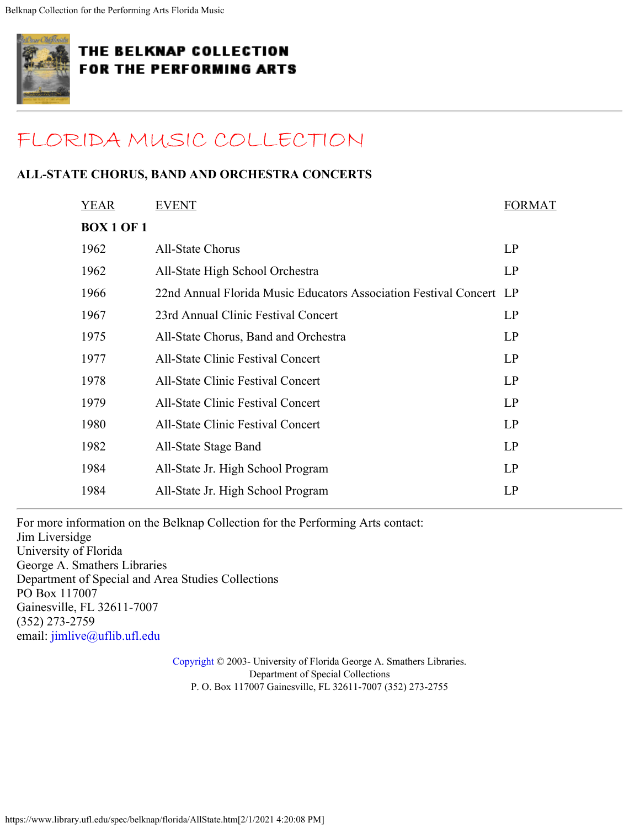<span id="page-24-0"></span>

## [FLORIDA MUSIC COLLECTION](#page-0-0)

#### **ALL-STATE CHORUS, BAND AND ORCHESTRA CONCERTS**

| <b>YEAR</b>       | <b>EVENT</b>                                                        | <b>FORMAT</b> |
|-------------------|---------------------------------------------------------------------|---------------|
| <b>BOX 1 OF 1</b> |                                                                     |               |
| 1962              | <b>All-State Chorus</b>                                             | LP            |
| 1962              | All-State High School Orchestra                                     | LP            |
| 1966              | 22nd Annual Florida Music Educators Association Festival Concert LP |               |
| 1967              | 23rd Annual Clinic Festival Concert                                 | LP            |
| 1975              | All-State Chorus, Band and Orchestra                                | LP            |
| 1977              | <b>All-State Clinic Festival Concert</b>                            | LP            |
| 1978              | <b>All-State Clinic Festival Concert</b>                            | LP            |
| 1979              | <b>All-State Clinic Festival Concert</b>                            | LP            |
| 1980              | All-State Clinic Festival Concert                                   | LP            |
| 1982              | All-State Stage Band                                                | LP            |
| 1984              | All-State Jr. High School Program                                   | LP            |
| 1984              | All-State Jr. High School Program                                   | LP            |
|                   |                                                                     |               |

For more information on the Belknap Collection for the Performing Arts contact: Jim Liversidge University of Florida George A. Smathers Libraries Department of Special and Area Studies Collections PO Box 117007 Gainesville, FL 32611-7007 (352) 273-2759 email: [jimlive@uflib.ufl.edu](mailto:jimlive@uflib.ufl.edu)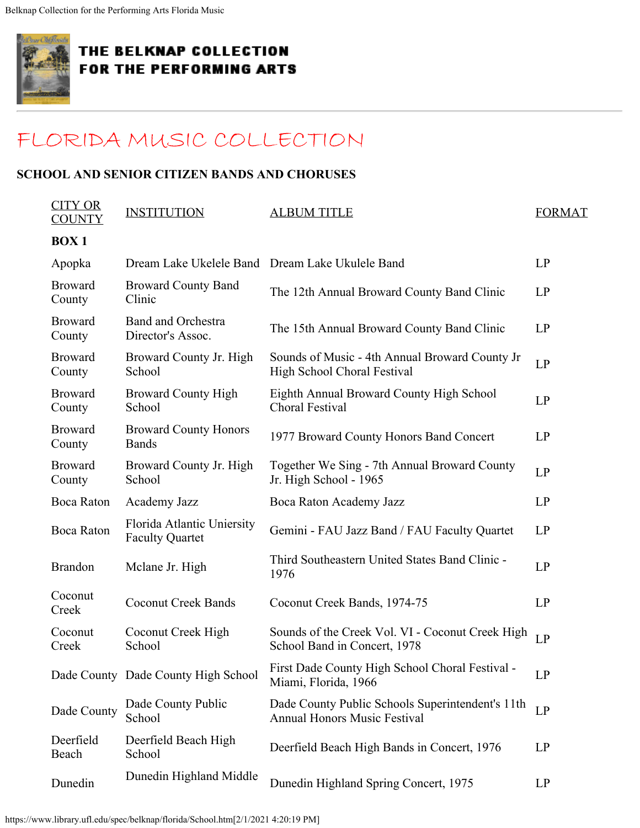<span id="page-25-0"></span>

## [FLORIDA MUSIC COLLECTION](#page-0-0)

#### **SCHOOL AND SENIOR CITIZEN BANDS AND CHORUSES**

| <b>CITY OR</b><br><b>COUNTY</b> | <b>INSTITUTION</b>                                   | <b>ALBUM TITLE</b>                                                                      | <b>FORMAT</b> |
|---------------------------------|------------------------------------------------------|-----------------------------------------------------------------------------------------|---------------|
| <b>BOX1</b>                     |                                                      |                                                                                         |               |
| Apopka                          |                                                      | Dream Lake Ukelele Band Dream Lake Ukulele Band                                         | LP            |
| <b>Broward</b><br>County        | <b>Broward County Band</b><br>Clinic                 | The 12th Annual Broward County Band Clinic                                              | LP            |
| <b>Broward</b><br>County        | <b>Band and Orchestra</b><br>Director's Assoc.       | The 15th Annual Broward County Band Clinic                                              | LP            |
| <b>Broward</b><br>County        | Broward County Jr. High<br>School                    | Sounds of Music - 4th Annual Broward County Jr<br>High School Choral Festival           | LP            |
| <b>Broward</b><br>County        | <b>Broward County High</b><br>School                 | Eighth Annual Broward County High School<br>Choral Festival                             | LP            |
| <b>Broward</b><br>County        | <b>Broward County Honors</b><br><b>Bands</b>         | 1977 Broward County Honors Band Concert                                                 | LP            |
| <b>Broward</b><br>County        | Broward County Jr. High<br>School                    | Together We Sing - 7th Annual Broward County<br>Jr. High School - 1965                  | LP            |
| <b>Boca Raton</b>               | Academy Jazz                                         | Boca Raton Academy Jazz                                                                 | LP            |
| <b>Boca Raton</b>               | Florida Atlantic Uniersity<br><b>Faculty Quartet</b> | Gemini - FAU Jazz Band / FAU Faculty Quartet                                            | LP            |
| <b>Brandon</b>                  | Mclane Jr. High                                      | Third Southeastern United States Band Clinic -<br>1976                                  | LP            |
| Coconut<br>Creek                | <b>Coconut Creek Bands</b>                           | Coconut Creek Bands, 1974-75                                                            | LP            |
| Coconut<br>Creek                | Coconut Creek High<br>School                         | Sounds of the Creek Vol. VI - Coconut Creek High<br>School Band in Concert, 1978        | LP            |
|                                 | Dade County Dade County High School                  | First Dade County High School Choral Festival -<br>Miami, Florida, 1966                 | LP            |
| Dade County                     | Dade County Public<br>School                         | Dade County Public Schools Superintendent's 11th<br><b>Annual Honors Music Festival</b> | LP            |
| Deerfield<br>Beach              | Deerfield Beach High<br>School                       | Deerfield Beach High Bands in Concert, 1976                                             | LP            |
| Dunedin                         | Dunedin Highland Middle                              | Dunedin Highland Spring Concert, 1975                                                   | LP            |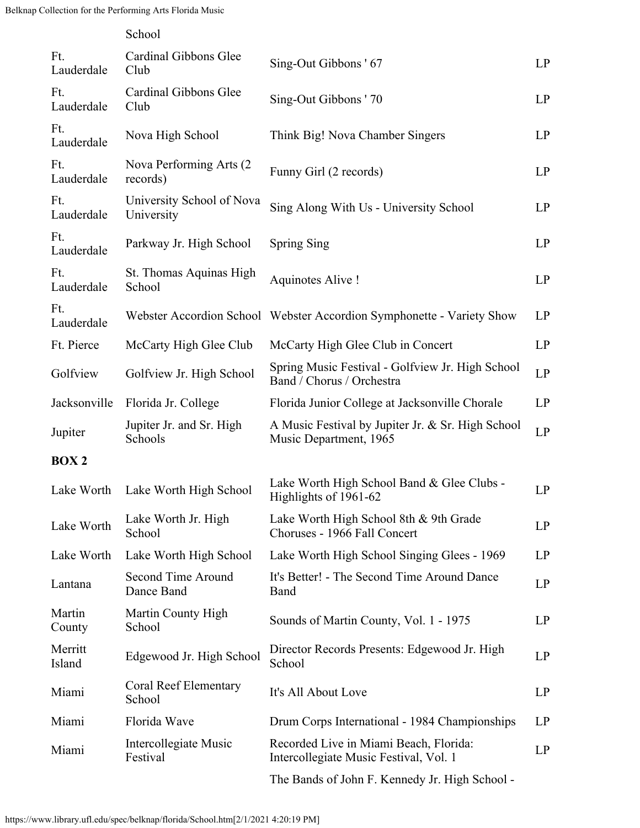|                   | School                                  |                                                                                  |    |
|-------------------|-----------------------------------------|----------------------------------------------------------------------------------|----|
| Ft.<br>Lauderdale | Cardinal Gibbons Glee<br>Club           | Sing-Out Gibbons ' 67                                                            | LP |
| Ft.<br>Lauderdale | Cardinal Gibbons Glee<br>Club           | Sing-Out Gibbons ' 70                                                            | LP |
| Ft.<br>Lauderdale | Nova High School                        | Think Big! Nova Chamber Singers                                                  | LP |
| Ft.<br>Lauderdale | Nova Performing Arts (2)<br>records)    | Funny Girl (2 records)                                                           | LP |
| Ft.<br>Lauderdale | University School of Nova<br>University | Sing Along With Us - University School                                           | LP |
| Ft.<br>Lauderdale | Parkway Jr. High School                 | <b>Spring Sing</b>                                                               | LP |
| Ft.<br>Lauderdale | St. Thomas Aquinas High<br>School       | Aquinotes Alive!                                                                 | LP |
| Ft.<br>Lauderdale |                                         | Webster Accordion School Webster Accordion Symphonette - Variety Show            | LP |
| Ft. Pierce        | McCarty High Glee Club                  | McCarty High Glee Club in Concert                                                | LP |
| Golfview          | Golfview Jr. High School                | Spring Music Festival - Golfview Jr. High School<br>Band / Chorus / Orchestra    | LP |
| Jacksonville      | Florida Jr. College                     | Florida Junior College at Jacksonville Chorale                                   | LP |
| Jupiter           | Jupiter Jr. and Sr. High<br>Schools     | A Music Festival by Jupiter Jr. & Sr. High School<br>Music Department, 1965      | LP |
| <b>BOX2</b>       |                                         |                                                                                  |    |
| Lake Worth        | Lake Worth High School                  | Lake Worth High School Band & Glee Clubs -<br>Highlights of 1961-62              | LP |
| Lake Worth        | Lake Worth Jr. High<br>School           | Lake Worth High School 8th & 9th Grade<br>Choruses - 1966 Fall Concert           | LP |
| Lake Worth        | Lake Worth High School                  | Lake Worth High School Singing Glees - 1969                                      | LP |
| Lantana           | Second Time Around<br>Dance Band        | It's Better! - The Second Time Around Dance<br>Band                              | LP |
| Martin<br>County  | Martin County High<br>School            | Sounds of Martin County, Vol. 1 - 1975                                           | LP |
| Merritt<br>Island | Edgewood Jr. High School                | Director Records Presents: Edgewood Jr. High<br>School                           | LP |
| Miami             | Coral Reef Elementary<br>School         | It's All About Love                                                              | LP |
| Miami             | Florida Wave                            | Drum Corps International - 1984 Championships                                    | LP |
| Miami             | Intercollegiate Music<br>Festival       | Recorded Live in Miami Beach, Florida:<br>Intercollegiate Music Festival, Vol. 1 | LP |
|                   |                                         | The Bands of John F. Kennedy Jr. High School -                                   |    |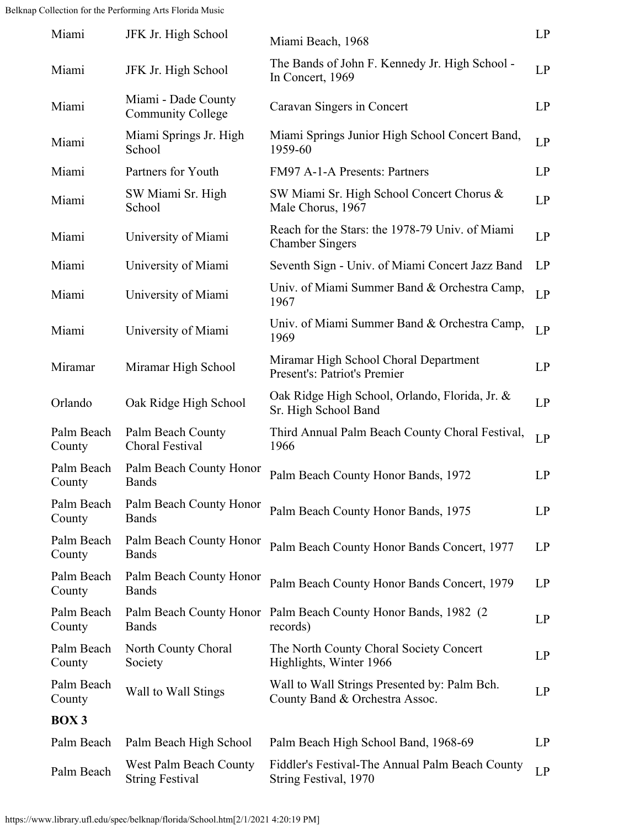| Miami                | JFK Jr. High School                              | Miami Beach, 1968                                                              | LP |
|----------------------|--------------------------------------------------|--------------------------------------------------------------------------------|----|
| Miami                | JFK Jr. High School                              | The Bands of John F. Kennedy Jr. High School -<br>In Concert, 1969             | LP |
| Miami                | Miami - Dade County<br><b>Community College</b>  | Caravan Singers in Concert                                                     | LP |
| Miami                | Miami Springs Jr. High<br>School                 | Miami Springs Junior High School Concert Band,<br>1959-60                      | LP |
| Miami                | Partners for Youth                               | FM97 A-1-A Presents: Partners                                                  | LP |
| Miami                | SW Miami Sr. High<br>School                      | SW Miami Sr. High School Concert Chorus &<br>Male Chorus, 1967                 | LP |
| Miami                | University of Miami                              | Reach for the Stars: the 1978-79 Univ. of Miami<br><b>Chamber Singers</b>      | LP |
| Miami                | University of Miami                              | Seventh Sign - Univ. of Miami Concert Jazz Band                                | LP |
| Miami                | University of Miami                              | Univ. of Miami Summer Band & Orchestra Camp,<br>1967                           | LP |
| Miami                | University of Miami                              | Univ. of Miami Summer Band & Orchestra Camp,<br>1969                           | LP |
| Miramar              | Miramar High School                              | Miramar High School Choral Department<br>Present's: Patriot's Premier          | LP |
| Orlando              | Oak Ridge High School                            | Oak Ridge High School, Orlando, Florida, Jr. &<br>Sr. High School Band         | LP |
| Palm Beach<br>County | Palm Beach County<br>Choral Festival             | Third Annual Palm Beach County Choral Festival,<br>1966                        | LP |
| Palm Beach<br>County | Palm Beach County Honor<br><b>Bands</b>          | Palm Beach County Honor Bands, 1972                                            | LP |
| Palm Beach<br>County | Palm Beach County Honor<br><b>Bands</b>          | Palm Beach County Honor Bands, 1975                                            | LP |
| Palm Beach<br>County | Palm Beach County Honor<br><b>Bands</b>          | Palm Beach County Honor Bands Concert, 1977                                    | LP |
| Palm Beach<br>County | Palm Beach County Honor<br><b>Bands</b>          | Palm Beach County Honor Bands Concert, 1979                                    | LP |
| Palm Beach<br>County | Palm Beach County Honor<br><b>Bands</b>          | Palm Beach County Honor Bands, 1982 (2)<br>records)                            | LP |
| Palm Beach<br>County | North County Choral<br>Society                   | The North County Choral Society Concert<br>Highlights, Winter 1966             | LP |
| Palm Beach<br>County | Wall to Wall Stings                              | Wall to Wall Strings Presented by: Palm Bch.<br>County Band & Orchestra Assoc. | LP |
| BOX 3                |                                                  |                                                                                |    |
| Palm Beach           | Palm Beach High School                           | Palm Beach High School Band, 1968-69                                           | LP |
| Palm Beach           | West Palm Beach County<br><b>String Festival</b> | Fiddler's Festival-The Annual Palm Beach County<br>String Festival, 1970       | LP |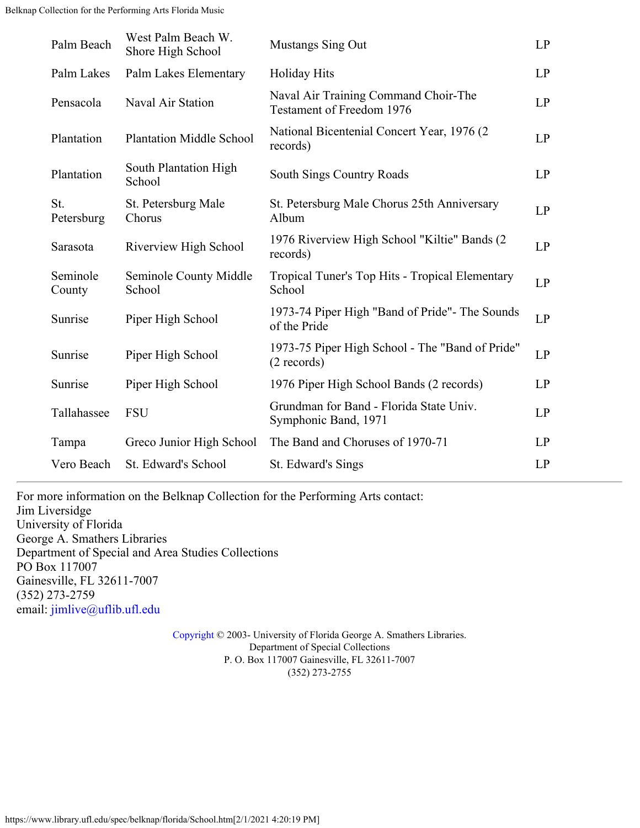| Palm Beach         | West Palm Beach W.<br>Shore High School | <b>Mustangs Sing Out</b>                                                 | LP |
|--------------------|-----------------------------------------|--------------------------------------------------------------------------|----|
| Palm Lakes         | Palm Lakes Elementary                   | <b>Holiday Hits</b>                                                      | LP |
| Pensacola          | Naval Air Station                       | Naval Air Training Command Choir-The<br><b>Testament of Freedom 1976</b> | LP |
| Plantation         | <b>Plantation Middle School</b>         | National Bicentenial Concert Year, 1976 (2)<br>records)                  | LP |
| Plantation         | South Plantation High<br>School         | <b>South Sings Country Roads</b>                                         | LP |
| St.<br>Petersburg  | St. Petersburg Male<br>Chorus           | St. Petersburg Male Chorus 25th Anniversary<br>Album                     | LP |
| Sarasota           | Riverview High School                   | 1976 Riverview High School "Kiltie" Bands (2)<br>records)                | LP |
| Seminole<br>County | Seminole County Middle<br>School        | Tropical Tuner's Top Hits - Tropical Elementary<br>School                | LP |
| Sunrise            | Piper High School                       | 1973-74 Piper High "Band of Pride"- The Sounds<br>of the Pride           | LP |
| Sunrise            | Piper High School                       | 1973-75 Piper High School - The "Band of Pride"<br>$(2$ records)         | LP |
| Sunrise            | Piper High School                       | 1976 Piper High School Bands (2 records)                                 | LP |
| Tallahassee        | <b>FSU</b>                              | Grundman for Band - Florida State Univ.<br>Symphonic Band, 1971          | LP |
| Tampa              | Greco Junior High School                | The Band and Choruses of 1970-71                                         | LP |
| Vero Beach         | St. Edward's School                     | St. Edward's Sings                                                       | LP |
|                    |                                         |                                                                          |    |

For more information on the Belknap Collection for the Performing Arts contact: Jim Liversidge University of Florida George A. Smathers Libraries Department of Special and Area Studies Collections PO Box 117007 Gainesville, FL 32611-7007 (352) 273-2759 email: [jimlive@uflib.ufl.edu](mailto:jimlive@uflib.ufl.edu)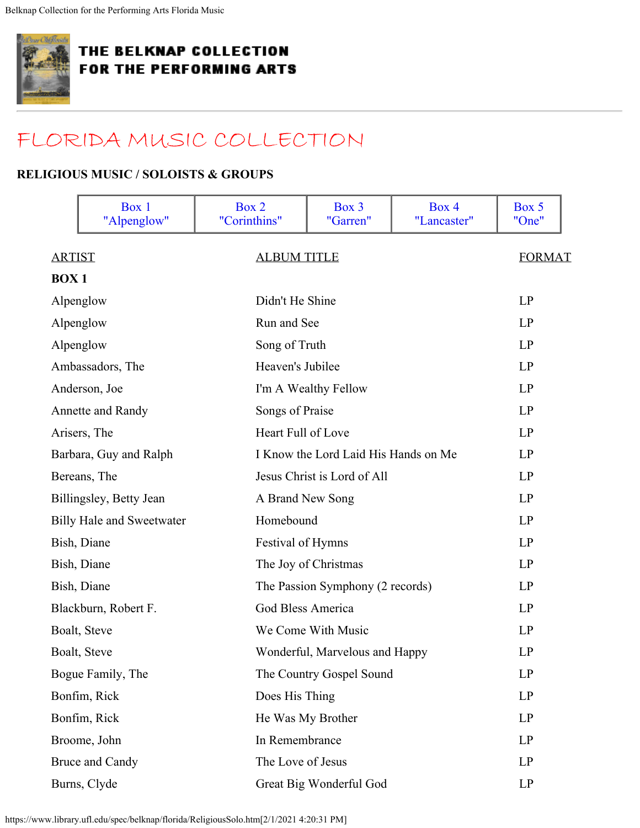<span id="page-29-0"></span>

## [FLORIDA MUSIC COLLECTION](#page-0-0)

#### **RELIGIOUS MUSIC / SOLOISTS & GROUPS**

<span id="page-29-1"></span>

|               | Box 1<br>"Alpenglow"             | Box 2<br>"Corinthins" | Box 3<br>"Garren"                    | Box 4<br>"Lancaster" | Box 5<br>"One" |
|---------------|----------------------------------|-----------------------|--------------------------------------|----------------------|----------------|
| <b>ARTIST</b> |                                  | <b>ALBUM TITLE</b>    |                                      |                      | <b>FORMAT</b>  |
| <b>BOX1</b>   |                                  |                       |                                      |                      |                |
|               | Alpenglow                        | Didn't He Shine       |                                      |                      | LP             |
|               | Alpenglow                        | Run and See           |                                      |                      | LP             |
|               | Alpenglow                        | Song of Truth         |                                      |                      | LP             |
|               | Ambassadors, The                 | Heaven's Jubilee      |                                      |                      | LP             |
|               | Anderson, Joe                    |                       | I'm A Wealthy Fellow                 |                      | LP             |
|               | Annette and Randy                | Songs of Praise       |                                      |                      | LP             |
|               | Arisers, The                     | Heart Full of Love    |                                      |                      | LP             |
|               | Barbara, Guy and Ralph           |                       | I Know the Lord Laid His Hands on Me |                      | LP             |
|               | Bereans, The                     |                       | Jesus Christ is Lord of All          |                      | LP             |
|               | Billingsley, Betty Jean          | A Brand New Song      |                                      |                      | LP             |
|               | <b>Billy Hale and Sweetwater</b> | Homebound             |                                      |                      | LP             |
|               | Bish, Diane                      | Festival of Hymns     |                                      |                      | LP             |
|               | Bish, Diane                      |                       | The Joy of Christmas                 |                      | LP             |
|               | Bish, Diane                      |                       | The Passion Symphony (2 records)     |                      | LP             |
|               | Blackburn, Robert F.             | God Bless America     |                                      |                      | LP             |
|               | Boalt, Steve                     |                       | We Come With Music                   |                      | LP             |
|               | Boalt, Steve                     |                       | Wonderful, Marvelous and Happy       |                      | LP             |
|               | Bogue Family, The                |                       | The Country Gospel Sound             |                      | LP             |
|               | Bonfim, Rick                     | Does His Thing        |                                      |                      | LP             |
|               | Bonfim, Rick                     |                       | He Was My Brother                    |                      | LP             |
|               | Broome, John                     | In Remembrance        |                                      |                      | LP             |
|               | Bruce and Candy                  | The Love of Jesus     |                                      |                      | LP             |
|               | Burns, Clyde                     |                       | Great Big Wonderful God              |                      | LP             |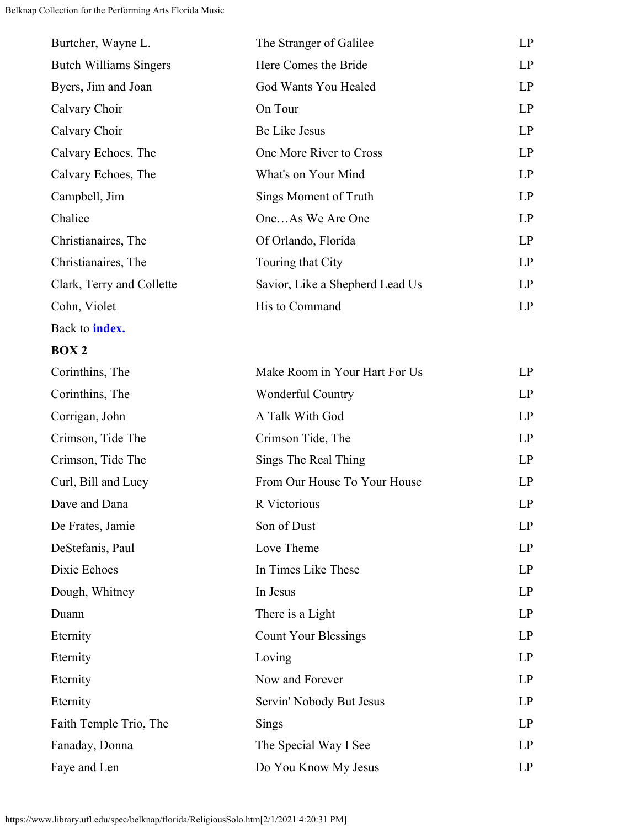| Burtcher, Wayne L.            | The Stranger of Galilee         | LP |
|-------------------------------|---------------------------------|----|
| <b>Butch Williams Singers</b> | Here Comes the Bride            | LP |
| Byers, Jim and Joan           | God Wants You Healed            | LP |
| Calvary Choir                 | On Tour                         | LP |
| Calvary Choir                 | Be Like Jesus                   | LP |
| Calvary Echoes, The           | One More River to Cross         | LP |
| Calvary Echoes, The           | What's on Your Mind             | LP |
| Campbell, Jim                 | Sings Moment of Truth           | LP |
| Chalice                       | OneAs We Are One                | LP |
| Christianaires, The           | Of Orlando, Florida             | LP |
| Christianaires, The           | Touring that City               | LP |
| Clark, Terry and Collette     | Savior, Like a Shepherd Lead Us | LP |
| Cohn, Violet                  | His to Command                  | LP |
|                               |                                 |    |

Back to **[index.](#page-29-0)**

### <span id="page-30-0"></span>**BOX 2**

| Corinthins, The        | Make Room in Your Hart For Us | LP        |
|------------------------|-------------------------------|-----------|
| Corinthins, The        | <b>Wonderful Country</b>      | <b>LP</b> |
| Corrigan, John         | A Talk With God               | LP        |
| Crimson, Tide The      | Crimson Tide, The             | LP        |
| Crimson, Tide The      | Sings The Real Thing          | LP        |
| Curl, Bill and Lucy    | From Our House To Your House  | LP        |
| Dave and Dana          | R Victorious                  | LP        |
| De Frates, Jamie       | Son of Dust                   | LP        |
| DeStefanis, Paul       | Love Theme                    | LP        |
| Dixie Echoes           | In Times Like These           | LP        |
| Dough, Whitney         | In Jesus                      | LP        |
| Duann                  | There is a Light              | LP        |
| Eternity               | <b>Count Your Blessings</b>   | <b>LP</b> |
| Eternity               | Loving                        | LP        |
| Eternity               | Now and Forever               | LP        |
| Eternity               | Servin' Nobody But Jesus      | LP        |
| Faith Temple Trio, The | Sings                         | LP        |
| Fanaday, Donna         | The Special Way I See         | LP        |
| Faye and Len           | Do You Know My Jesus          | LP        |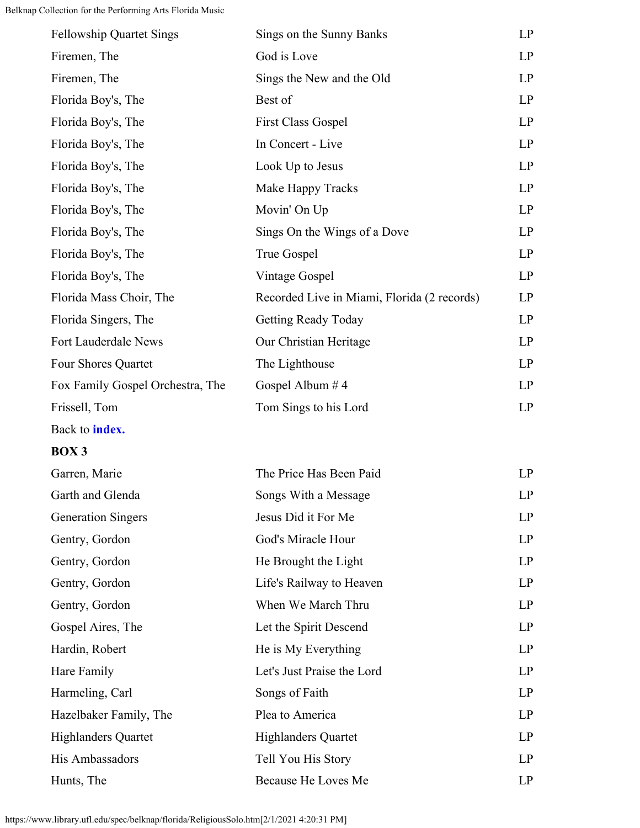| <b>Fellowship Quartet Sings</b>  | Sings on the Sunny Banks                    | LP        |
|----------------------------------|---------------------------------------------|-----------|
| Firemen, The                     | God is Love                                 | LP        |
| Firemen, The                     | Sings the New and the Old                   | LP        |
| Florida Boy's, The               | Best of                                     | <b>LP</b> |
| Florida Boy's, The               | <b>First Class Gospel</b>                   | <b>LP</b> |
| Florida Boy's, The               | In Concert - Live                           | LP        |
| Florida Boy's, The               | Look Up to Jesus                            | LP        |
| Florida Boy's, The               | Make Happy Tracks                           | LP        |
| Florida Boy's, The               | Movin' On Up                                | LP        |
| Florida Boy's, The               | Sings On the Wings of a Dove                | LP        |
| Florida Boy's, The               | True Gospel                                 | LP        |
| Florida Boy's, The               | Vintage Gospel                              | LP        |
| Florida Mass Choir, The          | Recorded Live in Miami, Florida (2 records) | LP        |
| Florida Singers, The             | <b>Getting Ready Today</b>                  | <b>LP</b> |
| Fort Lauderdale News             | Our Christian Heritage                      | <b>LP</b> |
| Four Shores Quartet              | The Lighthouse                              | <b>LP</b> |
| Fox Family Gospel Orchestra, The | Gospel Album #4                             | <b>LP</b> |
| Frissell, Tom                    | Tom Sings to his Lord                       | <b>LP</b> |
|                                  |                                             |           |

Back to **[index.](#page-29-0)**

### <span id="page-31-0"></span>**BOX 3**

| Garren, Marie              | The Price Has Been Paid    | LP        |
|----------------------------|----------------------------|-----------|
| Garth and Glenda           | Songs With a Message       | <b>LP</b> |
| <b>Generation Singers</b>  | Jesus Did it For Me        | <b>LP</b> |
| Gentry, Gordon             | God's Miracle Hour         | LP        |
| Gentry, Gordon             | He Brought the Light       | LP        |
| Gentry, Gordon             | Life's Railway to Heaven   | LP        |
| Gentry, Gordon             | When We March Thru         | LP        |
| Gospel Aires, The          | Let the Spirit Descend     | LP        |
| Hardin, Robert             | He is My Everything        | LP        |
| Hare Family                | Let's Just Praise the Lord | LP        |
| Harmeling, Carl            | Songs of Faith             | <b>LP</b> |
| Hazelbaker Family, The     | Plea to America            | LP        |
| <b>Highlanders Quartet</b> | <b>Highlanders Quartet</b> | LP        |
| His Ambassadors            | Tell You His Story         | LP        |
| Hunts, The                 | Because He Loves Me        | LP        |

https://www.library.ufl.edu/spec/belknap/florida/ReligiousSolo.htm[2/1/2021 4:20:31 PM]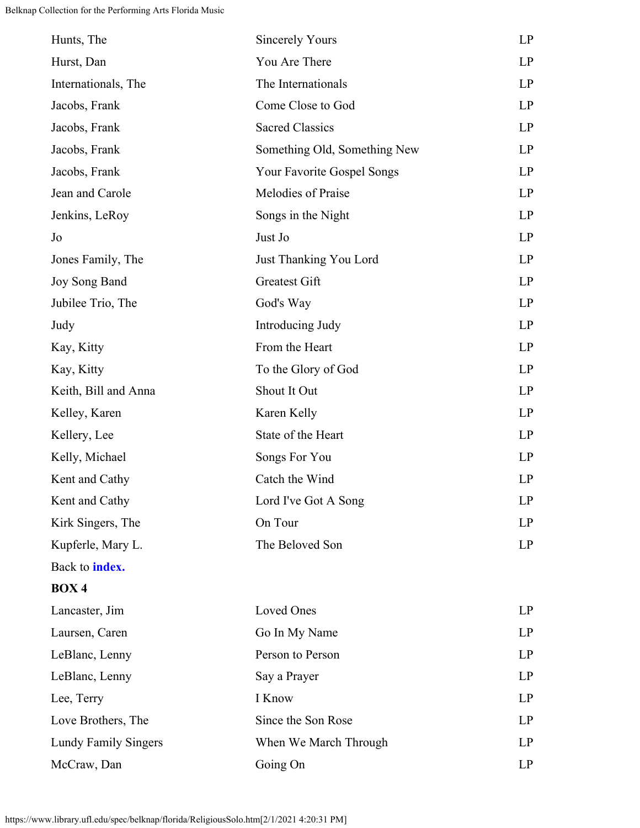<span id="page-32-0"></span>

| Hunts, The                  | <b>Sincerely Yours</b>       | LP |
|-----------------------------|------------------------------|----|
| Hurst, Dan                  | You Are There                | LP |
| Internationals, The         | The Internationals           | LP |
| Jacobs, Frank               | Come Close to God            | LP |
| Jacobs, Frank               | <b>Sacred Classics</b>       | LP |
| Jacobs, Frank               | Something Old, Something New | LP |
| Jacobs, Frank               | Your Favorite Gospel Songs   | LP |
| Jean and Carole             | Melodies of Praise           | LP |
| Jenkins, LeRoy              | Songs in the Night           | LP |
| Jo                          | Just Jo                      | LP |
| Jones Family, The           | Just Thanking You Lord       | LP |
| Joy Song Band               | Greatest Gift                | LP |
| Jubilee Trio, The           | God's Way                    | LP |
| Judy                        | Introducing Judy             | LP |
| Kay, Kitty                  | From the Heart               | LP |
| Kay, Kitty                  | To the Glory of God          | LP |
| Keith, Bill and Anna        | Shout It Out                 | LP |
| Kelley, Karen               | Karen Kelly                  | LP |
| Kellery, Lee                | State of the Heart           | LP |
| Kelly, Michael              | Songs For You                | LP |
| Kent and Cathy              | Catch the Wind               | LP |
| Kent and Cathy              | Lord I've Got A Song         | LP |
| Kirk Singers, The           | On Tour                      | LP |
| Kupferle, Mary L.           | The Beloved Son              | LP |
| Back to <b>index.</b>       |                              |    |
| BOX <sub>4</sub>            |                              |    |
| Lancaster, Jim              | Loved Ones                   | LP |
| Laursen, Caren              | Go In My Name                | LP |
| LeBlanc, Lenny              | Person to Person             | LP |
| LeBlanc, Lenny              | Say a Prayer                 | LP |
| Lee, Terry                  | I Know                       | LP |
| Love Brothers, The          | Since the Son Rose           | LP |
| <b>Lundy Family Singers</b> | When We March Through        | LP |
| McCraw, Dan                 | Going On                     | LP |
|                             |                              |    |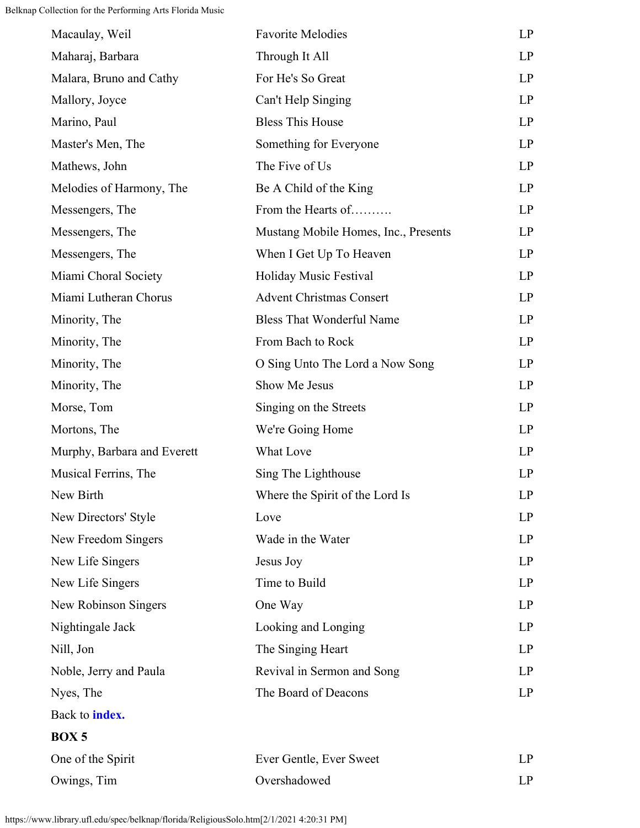<span id="page-33-0"></span>

| Macaulay, Weil              | <b>Favorite Melodies</b>             | LP |
|-----------------------------|--------------------------------------|----|
| Maharaj, Barbara            | Through It All                       | LP |
| Malara, Bruno and Cathy     | For He's So Great                    | LP |
| Mallory, Joyce              | Can't Help Singing                   | LP |
| Marino, Paul                | <b>Bless This House</b>              | LP |
| Master's Men, The           | Something for Everyone               | LP |
| Mathews, John               | The Five of Us                       | LP |
| Melodies of Harmony, The    | Be A Child of the King               | LP |
| Messengers, The             | From the Hearts of                   | LP |
| Messengers, The             | Mustang Mobile Homes, Inc., Presents | LP |
| Messengers, The             | When I Get Up To Heaven              | LP |
| Miami Choral Society        | Holiday Music Festival               | LP |
| Miami Lutheran Chorus       | <b>Advent Christmas Consert</b>      | LP |
| Minority, The               | <b>Bless That Wonderful Name</b>     | LP |
| Minority, The               | From Bach to Rock                    | LP |
| Minority, The               | O Sing Unto The Lord a Now Song      | LP |
| Minority, The               | Show Me Jesus                        | LP |
| Morse, Tom                  | Singing on the Streets               | LP |
| Mortons, The                | We're Going Home                     | LP |
| Murphy, Barbara and Everett | What Love                            | LP |
| Musical Ferrins, The        | Sing The Lighthouse                  | LP |
| New Birth                   | Where the Spirit of the Lord Is      | LP |
| New Directors' Style        | Love                                 | LP |
| New Freedom Singers         | Wade in the Water                    | LP |
| New Life Singers            | Jesus Joy                            | LP |
| New Life Singers            | Time to Build                        | LP |
| New Robinson Singers        | One Way                              | LP |
| Nightingale Jack            | Looking and Longing                  | LP |
| Nill, Jon                   | The Singing Heart                    | LP |
| Noble, Jerry and Paula      | Revival in Sermon and Song           | LP |
| Nyes, The                   | The Board of Deacons                 | LP |
| Back to <b>index.</b>       |                                      |    |
| <b>BOX5</b>                 |                                      |    |
| One of the Spirit           | Ever Gentle, Ever Sweet              | LP |
| Owings, Tim                 | Overshadowed                         | LP |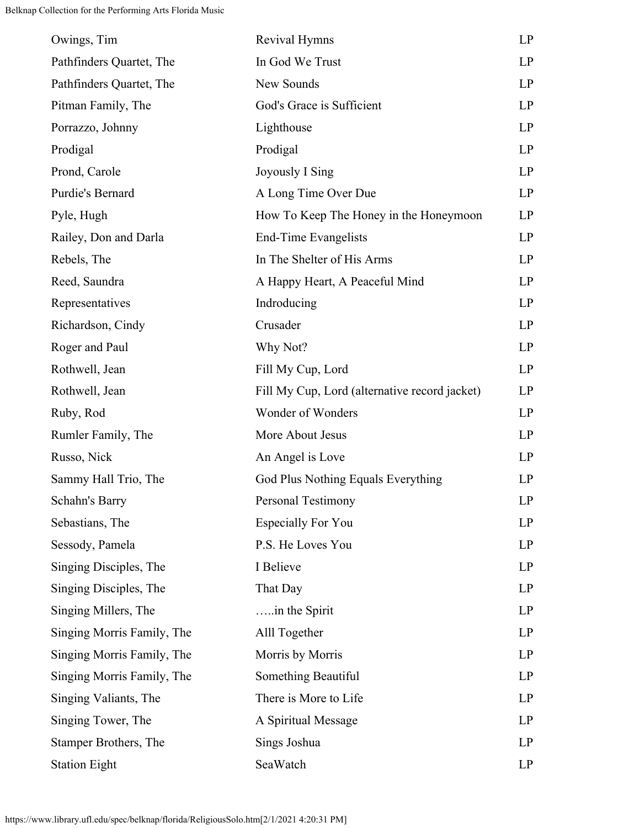| Owings, Tim                  | Revival Hymns                                 | LP |
|------------------------------|-----------------------------------------------|----|
| Pathfinders Quartet, The     | In God We Trust                               | LP |
| Pathfinders Quartet, The     | New Sounds                                    | LP |
| Pitman Family, The           | God's Grace is Sufficient                     | LP |
| Porrazzo, Johnny             | Lighthouse                                    | LP |
| Prodigal                     | Prodigal                                      | LP |
| Prond, Carole                | Joyously I Sing                               | LP |
| Purdie's Bernard             | A Long Time Over Due                          | LP |
| Pyle, Hugh                   | How To Keep The Honey in the Honeymoon        | LP |
| Railey, Don and Darla        | End-Time Evangelists                          | LP |
| Rebels, The                  | In The Shelter of His Arms                    | LP |
| Reed, Saundra                | A Happy Heart, A Peaceful Mind                | LP |
| Representatives              | Indroducing                                   | LP |
| Richardson, Cindy            | Crusader                                      | LP |
| Roger and Paul               | Why Not?                                      | LP |
| Rothwell, Jean               | Fill My Cup, Lord                             | LP |
| Rothwell, Jean               | Fill My Cup, Lord (alternative record jacket) | LP |
| Ruby, Rod                    | Wonder of Wonders                             | LP |
| Rumler Family, The           | More About Jesus                              | LP |
| Russo, Nick                  | An Angel is Love                              | LP |
| Sammy Hall Trio, The         | God Plus Nothing Equals Everything            | LP |
| Schahn's Barry               | <b>Personal Testimony</b>                     | LP |
| Sebastians, The              | <b>Especially For You</b>                     | LP |
| Sessody, Pamela              | P.S. He Loves You                             | LP |
| Singing Disciples, The       | I Believe                                     | LP |
| Singing Disciples, The       | That Day                                      | LP |
| Singing Millers, The         | in the Spirit                                 | LP |
| Singing Morris Family, The   | Alll Together                                 | LP |
| Singing Morris Family, The   | Morris by Morris                              | LP |
| Singing Morris Family, The   | Something Beautiful                           | LP |
| Singing Valiants, The        | There is More to Life                         | LP |
| Singing Tower, The           | A Spiritual Message                           | LP |
| <b>Stamper Brothers, The</b> | Sings Joshua                                  | LP |
| <b>Station Eight</b>         | SeaWatch                                      | LP |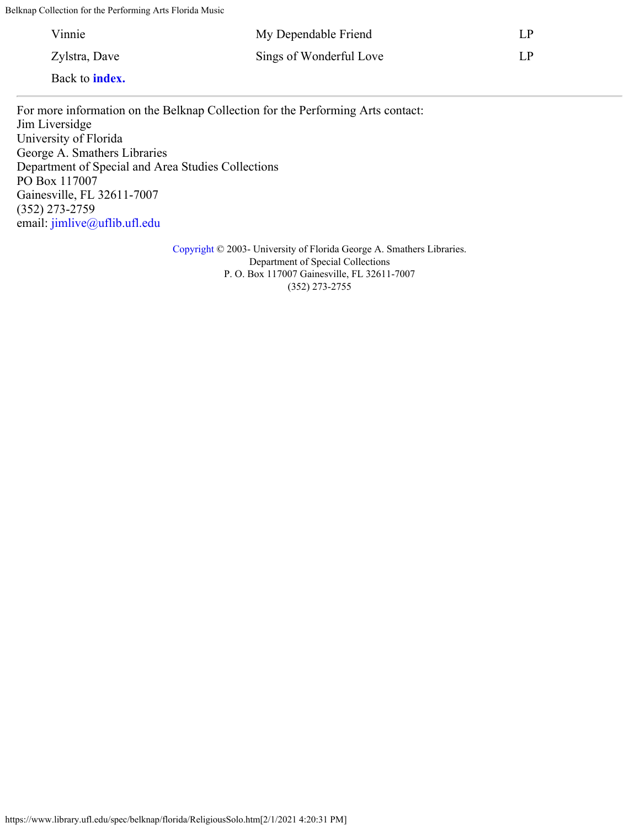| Vinnie                | My Dependable Friend    | LP. |
|-----------------------|-------------------------|-----|
| Zylstra, Dave         | Sings of Wonderful Love | LP  |
| Back to <b>index.</b> |                         |     |

For more information on the Belknap Collection for the Performing Arts contact: Jim Liversidge University of Florida George A. Smathers Libraries Department of Special and Area Studies Collections PO Box 117007 Gainesville, FL 32611-7007 (352) 273-2759 email: [jimlive@uflib.ufl.edu](mailto:jimlive@uflib.ufl.edu)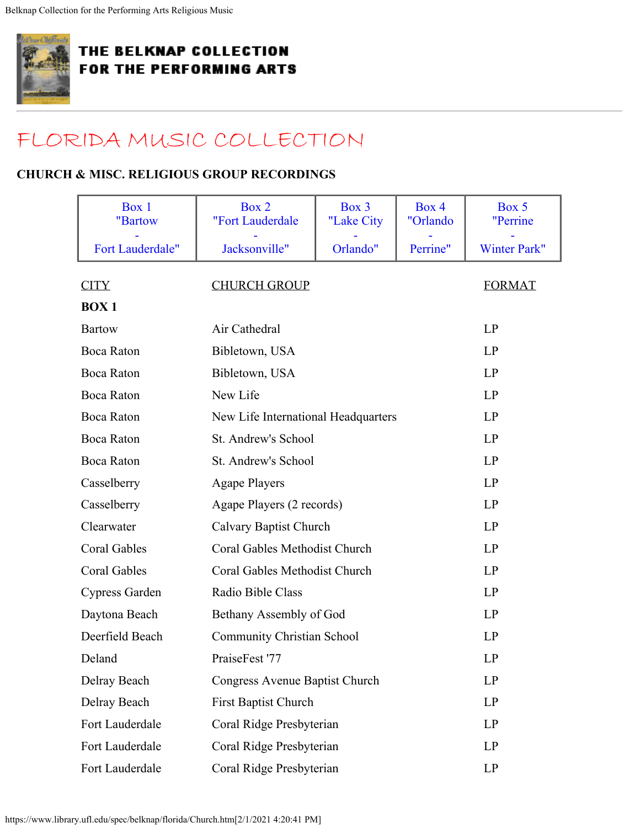<span id="page-36-0"></span>

# [FLORIDA MUSIC COLLECTION](#page-0-0)

### **CHURCH & MISC. RELIGIOUS GROUP RECORDINGS**

<span id="page-36-1"></span>

| Box 1<br>"Bartow    | Box 2<br>"Fort Lauderdale         | Box 3<br>"Lake City                 | Box 4<br>"Orlando | Box 5<br>"Perrine   |
|---------------------|-----------------------------------|-------------------------------------|-------------------|---------------------|
| Fort Lauderdale"    | Jacksonville"                     | Orlando"                            | Perrine"          | <b>Winter Park"</b> |
| <b>CITY</b>         | <b>CHURCH GROUP</b>               |                                     |                   | <b>FORMAT</b>       |
| <b>BOX1</b>         |                                   |                                     |                   |                     |
| <b>Bartow</b>       | Air Cathedral                     |                                     |                   | LP                  |
| <b>Boca Raton</b>   | Bibletown, USA                    |                                     |                   | LP                  |
| <b>Boca Raton</b>   | Bibletown, USA                    |                                     |                   |                     |
| <b>Boca Raton</b>   | New Life                          |                                     |                   |                     |
| <b>Boca Raton</b>   |                                   | New Life International Headquarters |                   |                     |
| <b>Boca Raton</b>   |                                   | St. Andrew's School                 |                   |                     |
| <b>Boca Raton</b>   |                                   | St. Andrew's School                 |                   |                     |
| Casselberry         | <b>Agape Players</b>              |                                     |                   |                     |
| Casselberry         | Agape Players (2 records)         |                                     |                   | LP                  |
| Clearwater          | Calvary Baptist Church            |                                     |                   | LP                  |
| <b>Coral Gables</b> | Coral Gables Methodist Church     |                                     |                   | LP                  |
| <b>Coral Gables</b> |                                   | Coral Gables Methodist Church       |                   |                     |
| Cypress Garden      | Radio Bible Class                 |                                     |                   | LP                  |
| Daytona Beach       | Bethany Assembly of God           |                                     |                   | LP                  |
| Deerfield Beach     | <b>Community Christian School</b> |                                     |                   | LP                  |
| Deland              | PraiseFest '77                    |                                     |                   | LP                  |
| Delray Beach        | Congress Avenue Baptist Church    |                                     |                   | LP                  |
| Delray Beach        | <b>First Baptist Church</b>       |                                     |                   | LP                  |
| Fort Lauderdale     | Coral Ridge Presbyterian          |                                     |                   | LP                  |
| Fort Lauderdale     | Coral Ridge Presbyterian          |                                     |                   | LP                  |
| Fort Lauderdale     | Coral Ridge Presbyterian          |                                     |                   | LP                  |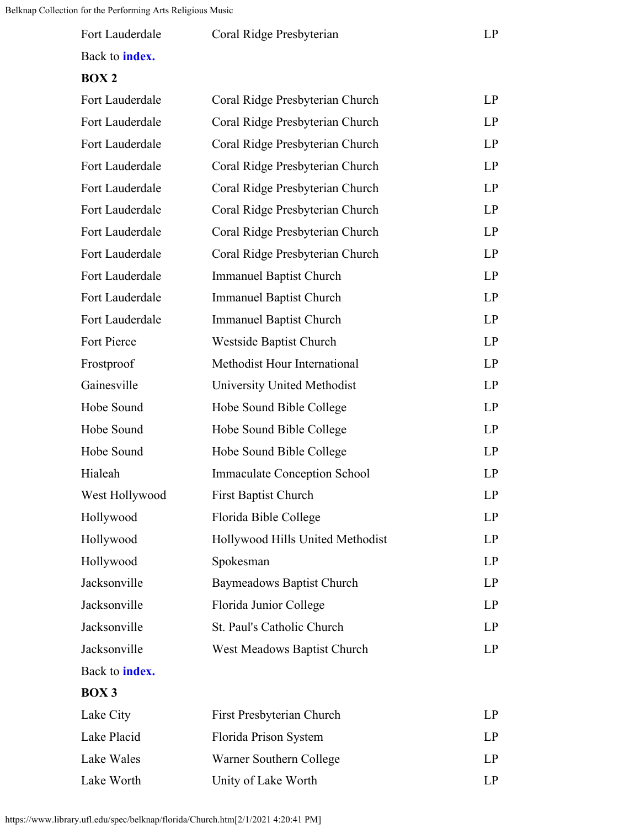<span id="page-37-0"></span>

| Fort Lauderdale       | Coral Ridge Presbyterian        | L P |
|-----------------------|---------------------------------|-----|
| Back to <b>index.</b> |                                 |     |
| <b>BOX 2</b>          |                                 |     |
| Fort Lauderdale       | Coral Ridge Presbyterian Church | I P |
| Fort Lauderdale       | Coral Ridge Presbyterian Church | I P |
| Fort Lauderdale       | Coral Ridge Presbyterian Church | I P |

Fort Lauderdale Coral Ridge Presbyterian Church LP

Fort Lauderdale Coral Ridge Presbyterian Church LP

Fort Lauderdale Coral Ridge Presbyterian Church LP

Fort Lauderdale Coral Ridge Presbyterian Church LP

Fort Lauderdale Coral Ridge Presbyterian Church LP

Fort Lauderdale Immanuel Baptist Church LP

Fort Lauderdale Immanuel Baptist Church LP

Fort Lauderdale Immanuel Baptist Church LP

Fort Pierce Westside Baptist Church LP

Frostproof Methodist Hour International LP

Gainesville University United Methodist LP

Hobe Sound Hobe Sound Bible College LP

Hobe Sound Hobe Sound Bible College LP

Hobe Sound Hobe Sound Bible College LP

Hialeah Immaculate Conception School LP

West Hollywood First Baptist Church LP

Hollywood Florida Bible College LP

Hollywood Hollywood Hills United Methodist LP

Hollywood Spokesman LP

Jacksonville Baymeadows Baptist Church LP

Jacksonville Florida Junior College LP

Jacksonville St. Paul's Catholic Church LP

Jacksonville West Meadows Baptist Church LP

Lake City First Presbyterian Church LP

Lake Placid Florida Prison System LP

Lake Wales Warner Southern College LP

Lake Worth Unity of Lake Worth LP

Back to **[index.](#page-36-0)**

<span id="page-37-1"></span>**BOX 3**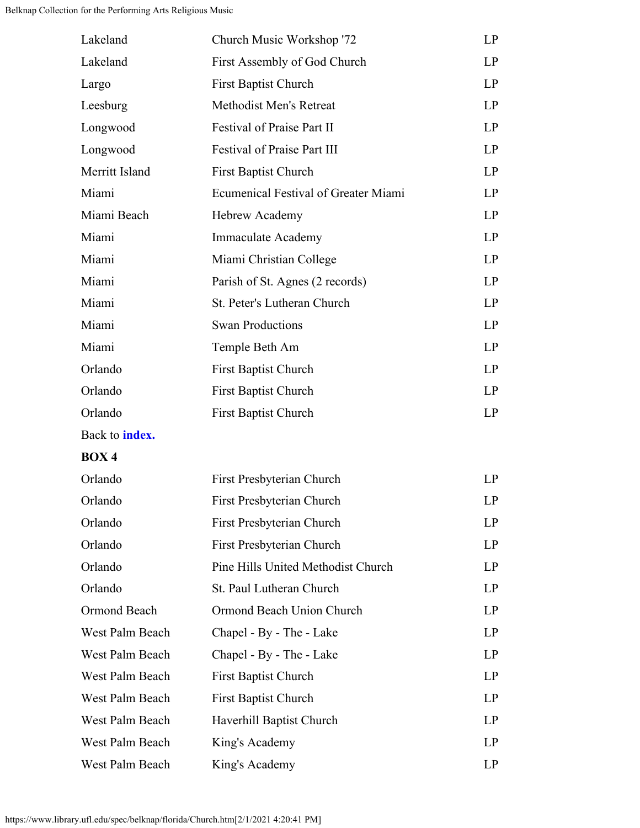<span id="page-38-0"></span>

| Lakeland              | Church Music Workshop '72            | LP |
|-----------------------|--------------------------------------|----|
| Lakeland              | First Assembly of God Church         | LP |
| Largo                 | <b>First Baptist Church</b>          | LP |
| Leesburg              | <b>Methodist Men's Retreat</b>       | LP |
| Longwood              | Festival of Praise Part II           | LP |
| Longwood              | <b>Festival of Praise Part III</b>   | LP |
| Merritt Island        | <b>First Baptist Church</b>          | LP |
| Miami                 | Ecumenical Festival of Greater Miami | LP |
| Miami Beach           | Hebrew Academy                       | LP |
| Miami                 | Immaculate Academy                   | LP |
| Miami                 | Miami Christian College              | LP |
| Miami                 | Parish of St. Agnes (2 records)      | LP |
| Miami                 | St. Peter's Lutheran Church          | LP |
| Miami                 | <b>Swan Productions</b>              | LP |
| Miami                 | Temple Beth Am                       | LP |
| Orlando               | <b>First Baptist Church</b>          | LP |
| Orlando               | <b>First Baptist Church</b>          | LP |
| Orlando               | <b>First Baptist Church</b>          | LP |
| Back to <b>index.</b> |                                      |    |
| <b>BOX4</b>           |                                      |    |
| Orlando               | First Presbyterian Church            | LP |
| Orlando               | First Presbyterian Church            | LP |
| Orlando               | First Presbyterian Church            | LP |
| Orlando               | First Presbyterian Church            | LP |
| Orlando               | Pine Hills United Methodist Church   | LP |
| Orlando               | St. Paul Lutheran Church             | LP |
| Ormond Beach          | Ormond Beach Union Church            | LP |
| West Palm Beach       | Chapel - By - The - Lake             | LP |
| West Palm Beach       | Chapel - By - The - Lake             | LP |
| West Palm Beach       | <b>First Baptist Church</b>          | LP |
| West Palm Beach       | <b>First Baptist Church</b>          | LP |
| West Palm Beach       | Haverhill Baptist Church             | LP |
| West Palm Beach       | King's Academy                       | LP |
| West Palm Beach       | King's Academy                       | LP |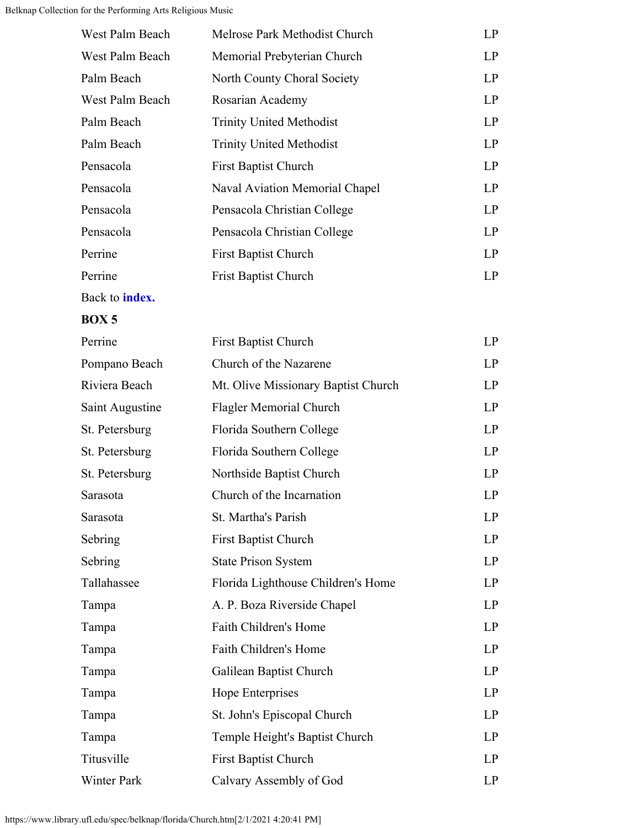| West Palm Beach | Melrose Park Methodist Church   | LP  |
|-----------------|---------------------------------|-----|
| West Palm Beach | Memorial Prebyterian Church     | LP  |
| Palm Beach      | North County Choral Society     | LP  |
| West Palm Beach | Rosarian Academy                | LP  |
| Palm Beach      | <b>Trinity United Methodist</b> | LP  |
| Palm Beach      | <b>Trinity United Methodist</b> | LP  |
| Pensacola       | <b>First Baptist Church</b>     | LP  |
| Pensacola       | Naval Aviation Memorial Chapel  | LP  |
| Pensacola       | Pensacola Christian College     | LP  |
| Pensacola       | Pensacola Christian College     | LP  |
| Perrine         | <b>First Baptist Church</b>     | LP  |
| Perrine         | <b>Frist Baptist Church</b>     | LP. |
|                 |                                 |     |

Back to **[index.](#page-36-0)**

#### <span id="page-39-0"></span>**BOX 5**

| Perrine            | <b>First Baptist Church</b>         | LP |
|--------------------|-------------------------------------|----|
| Pompano Beach      | Church of the Nazarene              | LP |
| Riviera Beach      | Mt. Olive Missionary Baptist Church | LP |
| Saint Augustine    | Flagler Memorial Church             | LP |
| St. Petersburg     | Florida Southern College            | LP |
| St. Petersburg     | Florida Southern College            | LP |
| St. Petersburg     | Northside Baptist Church            | LP |
| Sarasota           | Church of the Incarnation           | LP |
| Sarasota           | St. Martha's Parish                 | LP |
| Sebring            | <b>First Baptist Church</b>         | LP |
| Sebring            | <b>State Prison System</b>          | LP |
| Tallahassee        | Florida Lighthouse Children's Home  | LP |
| Tampa              | A. P. Boza Riverside Chapel         | LP |
| Tampa              | Faith Children's Home               | LP |
| Tampa              | <b>Faith Children's Home</b>        | LP |
| Tampa              | Galilean Baptist Church             | LP |
| Tampa              | Hope Enterprises                    | LP |
| Tampa              | St. John's Episcopal Church         | LP |
| Tampa              | Temple Height's Baptist Church      | LP |
| Titusville         | <b>First Baptist Church</b>         | LP |
| <b>Winter Park</b> | Calvary Assembly of God             | LP |